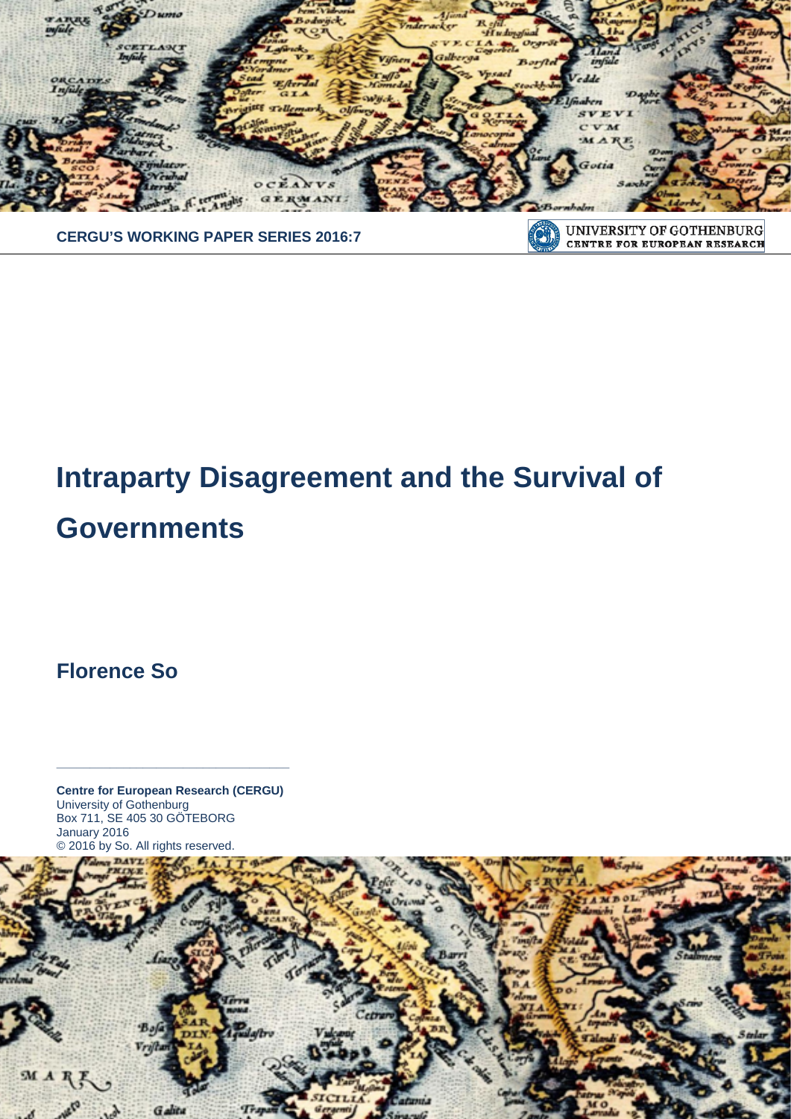

**CERGU'S WORKING PAPER SERIES 2016:7**

#### UNIVERSITY OF GOTHENBURG  $\left( 0\right)$ **CENTRE FOR EUROPEAN RESEARCH**

# **Intraparty Disagreement and the Survival of**

## **Governments**

**Florence So**

**Centre for European Research (CERGU)**  University of Gothenburg Box 711, SE 405 30 GÖTEBORG January 2016 © 2016 by So. All rights reserved.

**\_\_\_\_\_\_\_\_\_\_\_\_\_\_\_\_\_\_\_\_\_\_\_\_\_\_\_\_\_\_\_\_\_\_\_**

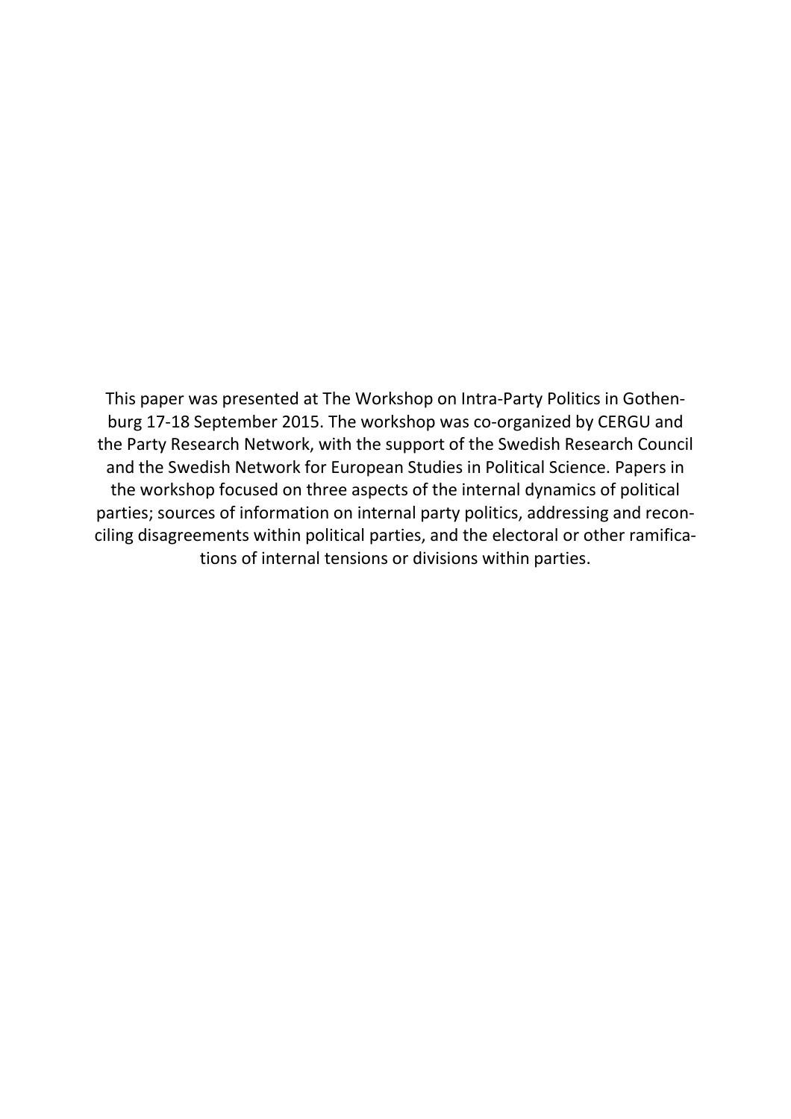This paper was presented at The Workshop on Intra-Party Politics in Gothenburg 17-18 September 2015. The workshop was co-organized by CERGU and the Party Research Network, with the support of the Swedish Research Council and the Swedish Network for European Studies in Political Science. Papers in the workshop focused on three aspects of the internal dynamics of political parties; sources of information on internal party politics, addressing and reconciling disagreements within political parties, and the electoral or other ramifications of internal tensions or divisions within parties.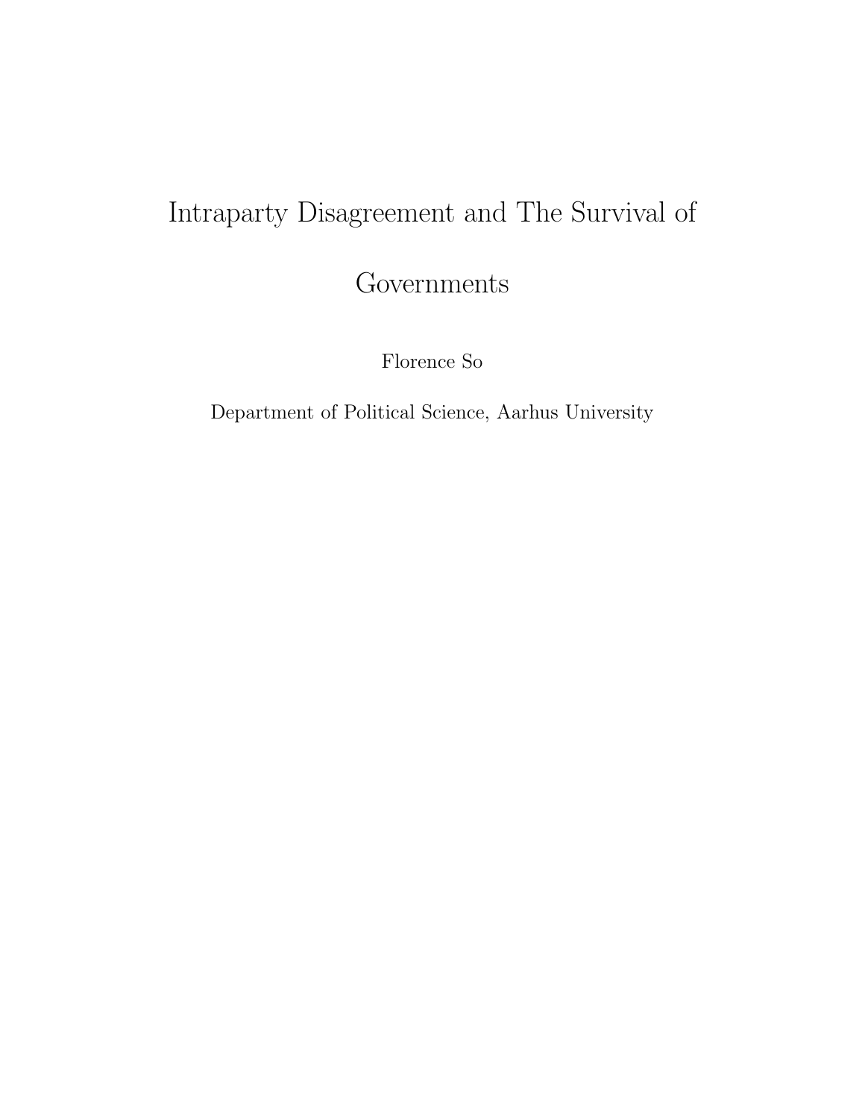# Intraparty Disagreement and The Survival of

Governments

Florence So

Department of Political Science, Aarhus University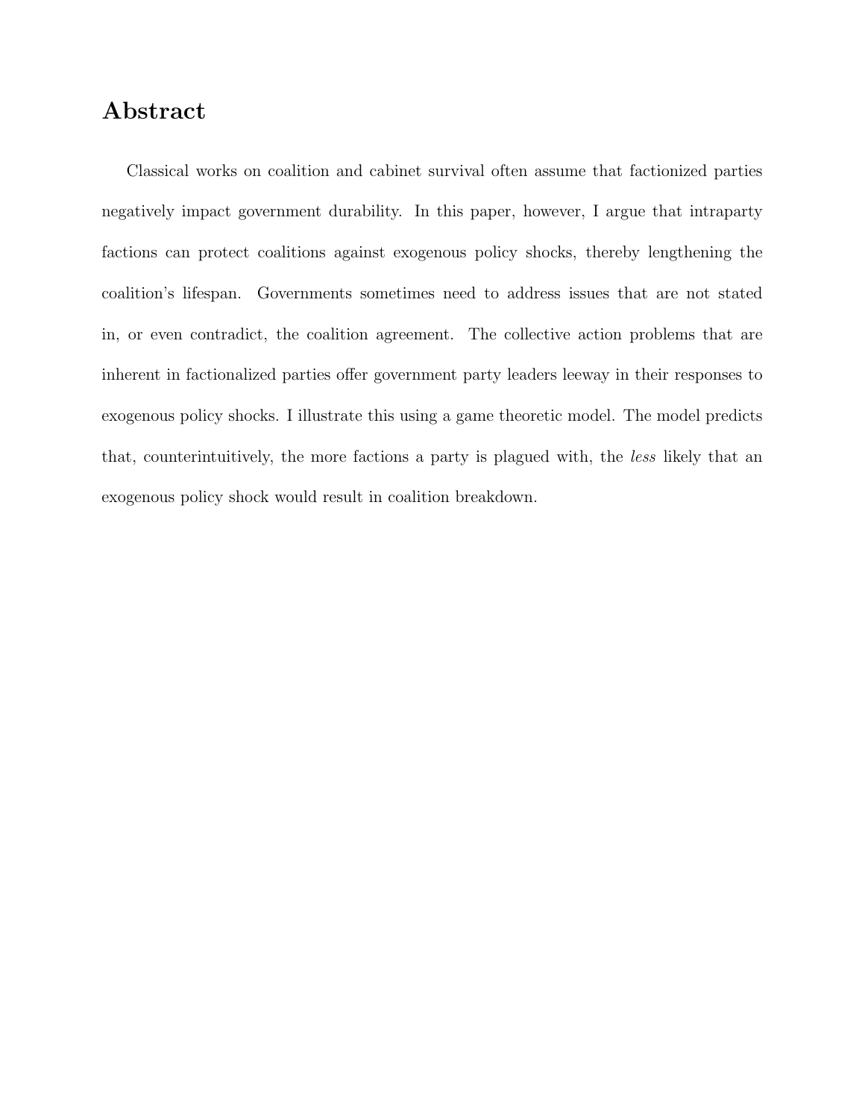## Abstract

Classical works on coalition and cabinet survival often assume that factionized parties negatively impact government durability. In this paper, however, I argue that intraparty factions can protect coalitions against exogenous policy shocks, thereby lengthening the coalition's lifespan. Governments sometimes need to address issues that are not stated in, or even contradict, the coalition agreement. The collective action problems that are inherent in factionalized parties offer government party leaders leeway in their responses to exogenous policy shocks. I illustrate this using a game theoretic model. The model predicts that, counterintuitively, the more factions a party is plagued with, the less likely that an exogenous policy shock would result in coalition breakdown.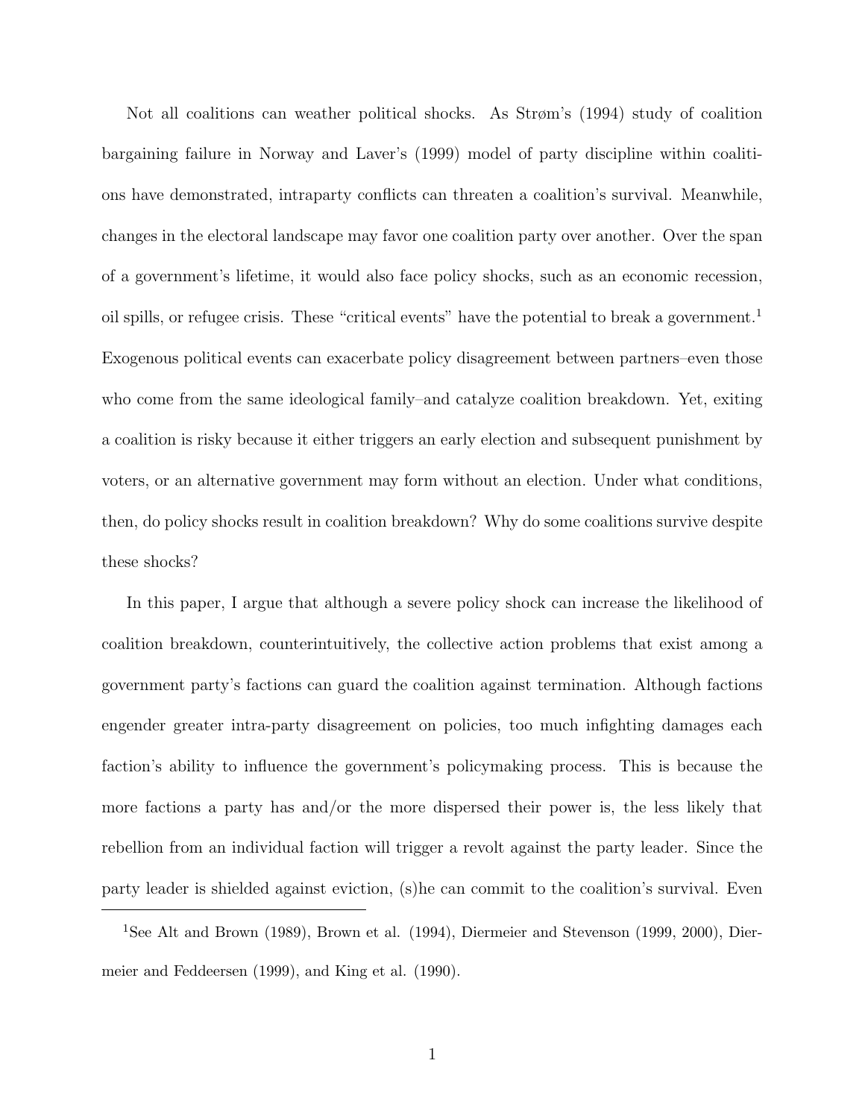Not all coalitions can weather political shocks. As Strøm's (1994) study of coalition bargaining failure in Norway and Laver's (1999) model of party discipline within coalitions have demonstrated, intraparty conflicts can threaten a coalition's survival. Meanwhile, changes in the electoral landscape may favor one coalition party over another. Over the span of a government's lifetime, it would also face policy shocks, such as an economic recession, oil spills, or refugee crisis. These "critical events" have the potential to break a government.<sup>1</sup> Exogenous political events can exacerbate policy disagreement between partners–even those who come from the same ideological family–and catalyze coalition breakdown. Yet, exiting a coalition is risky because it either triggers an early election and subsequent punishment by voters, or an alternative government may form without an election. Under what conditions, then, do policy shocks result in coalition breakdown? Why do some coalitions survive despite these shocks?

In this paper, I argue that although a severe policy shock can increase the likelihood of coalition breakdown, counterintuitively, the collective action problems that exist among a government party's factions can guard the coalition against termination. Although factions engender greater intra-party disagreement on policies, too much infighting damages each faction's ability to influence the government's policymaking process. This is because the more factions a party has and/or the more dispersed their power is, the less likely that rebellion from an individual faction will trigger a revolt against the party leader. Since the party leader is shielded against eviction, (s)he can commit to the coalition's survival. Even

<sup>&</sup>lt;sup>1</sup>See Alt and Brown (1989), Brown et al. (1994), Diermeier and Stevenson (1999, 2000), Diermeier and Feddeersen (1999), and King et al. (1990).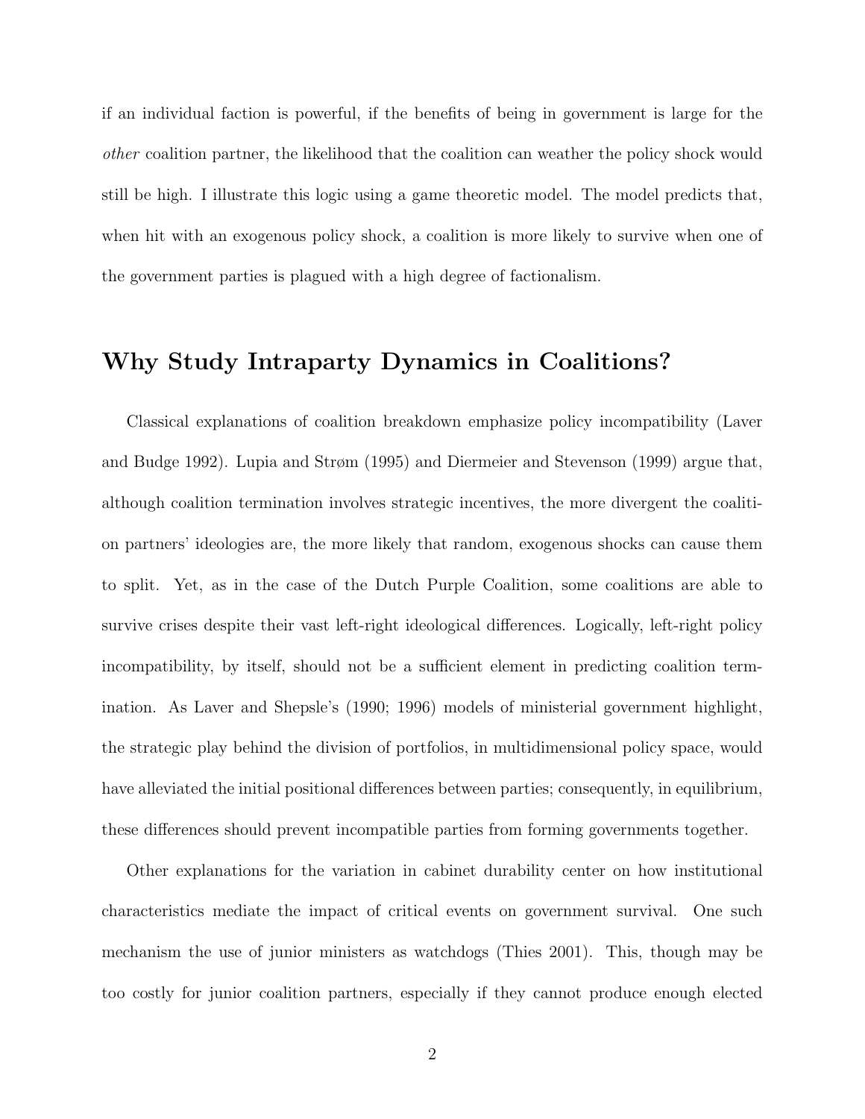if an individual faction is powerful, if the benefits of being in government is large for the other coalition partner, the likelihood that the coalition can weather the policy shock would still be high. I illustrate this logic using a game theoretic model. The model predicts that, when hit with an exogenous policy shock, a coalition is more likely to survive when one of the government parties is plagued with a high degree of factionalism.

## Why Study Intraparty Dynamics in Coalitions?

Classical explanations of coalition breakdown emphasize policy incompatibility (Laver and Budge 1992). Lupia and Strøm (1995) and Diermeier and Stevenson (1999) argue that, although coalition termination involves strategic incentives, the more divergent the coalition partners' ideologies are, the more likely that random, exogenous shocks can cause them to split. Yet, as in the case of the Dutch Purple Coalition, some coalitions are able to survive crises despite their vast left-right ideological differences. Logically, left-right policy incompatibility, by itself, should not be a sufficient element in predicting coalition termination. As Laver and Shepsle's (1990; 1996) models of ministerial government highlight, the strategic play behind the division of portfolios, in multidimensional policy space, would have alleviated the initial positional differences between parties; consequently, in equilibrium, these differences should prevent incompatible parties from forming governments together.

Other explanations for the variation in cabinet durability center on how institutional characteristics mediate the impact of critical events on government survival. One such mechanism the use of junior ministers as watchdogs (Thies 2001). This, though may be too costly for junior coalition partners, especially if they cannot produce enough elected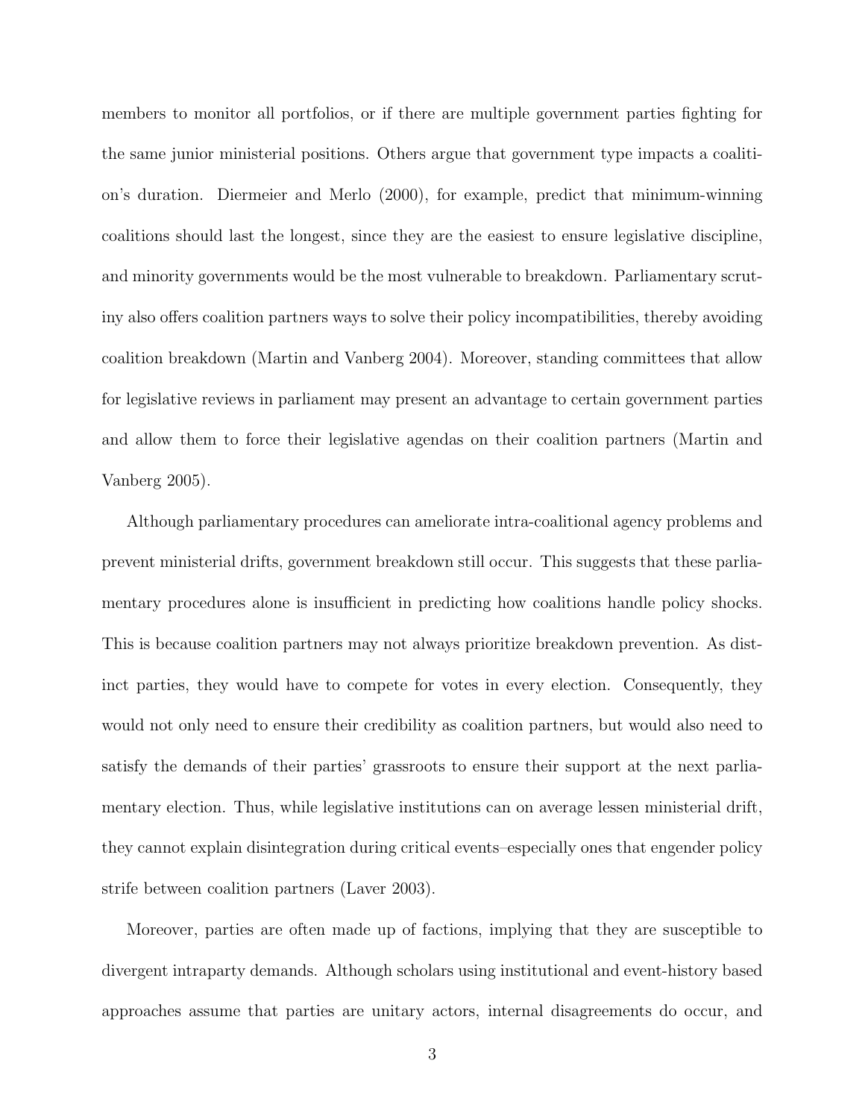members to monitor all portfolios, or if there are multiple government parties fighting for the same junior ministerial positions. Others argue that government type impacts a coalition's duration. Diermeier and Merlo (2000), for example, predict that minimum-winning coalitions should last the longest, since they are the easiest to ensure legislative discipline, and minority governments would be the most vulnerable to breakdown. Parliamentary scrutiny also offers coalition partners ways to solve their policy incompatibilities, thereby avoiding coalition breakdown (Martin and Vanberg 2004). Moreover, standing committees that allow for legislative reviews in parliament may present an advantage to certain government parties and allow them to force their legislative agendas on their coalition partners (Martin and Vanberg 2005).

Although parliamentary procedures can ameliorate intra-coalitional agency problems and prevent ministerial drifts, government breakdown still occur. This suggests that these parliamentary procedures alone is insufficient in predicting how coalitions handle policy shocks. This is because coalition partners may not always prioritize breakdown prevention. As distinct parties, they would have to compete for votes in every election. Consequently, they would not only need to ensure their credibility as coalition partners, but would also need to satisfy the demands of their parties' grassroots to ensure their support at the next parliamentary election. Thus, while legislative institutions can on average lessen ministerial drift, they cannot explain disintegration during critical events–especially ones that engender policy strife between coalition partners (Laver 2003).

Moreover, parties are often made up of factions, implying that they are susceptible to divergent intraparty demands. Although scholars using institutional and event-history based approaches assume that parties are unitary actors, internal disagreements do occur, and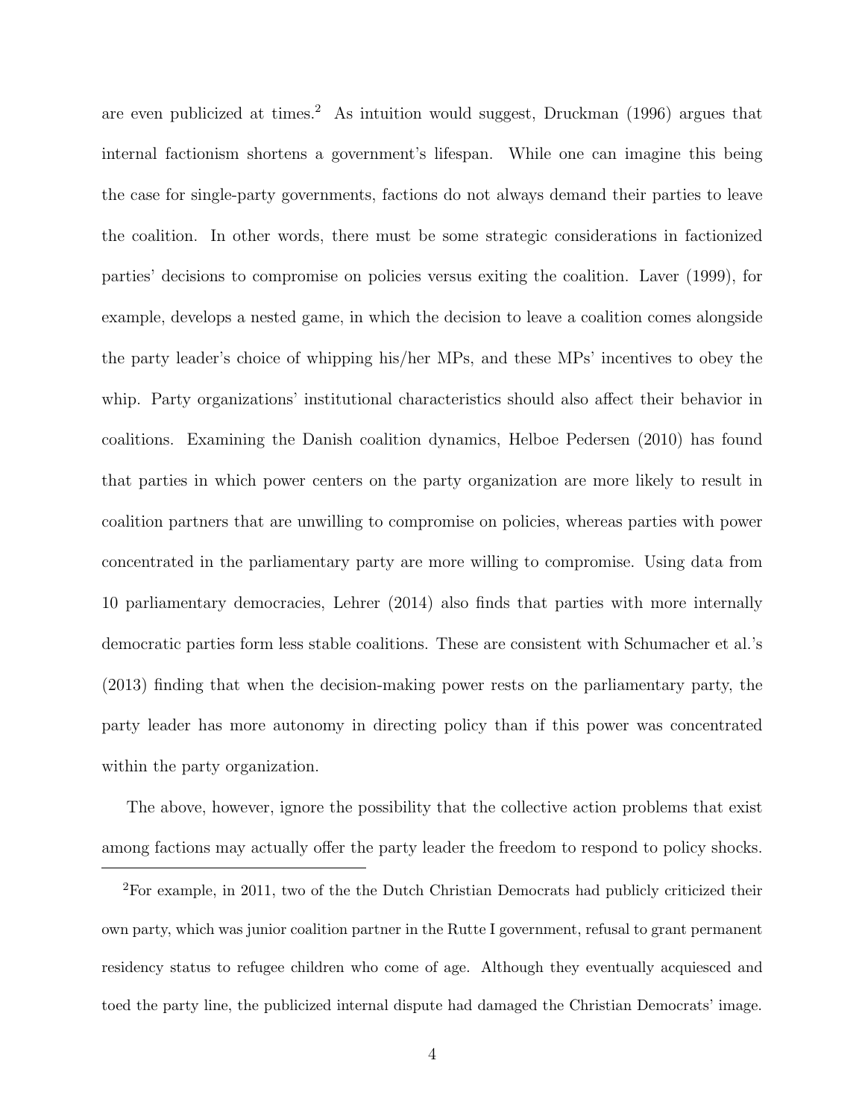are even publicized at times.<sup>2</sup> As intuition would suggest, Druckman  $(1996)$  argues that internal factionism shortens a government's lifespan. While one can imagine this being the case for single-party governments, factions do not always demand their parties to leave the coalition. In other words, there must be some strategic considerations in factionized parties' decisions to compromise on policies versus exiting the coalition. Laver (1999), for example, develops a nested game, in which the decision to leave a coalition comes alongside the party leader's choice of whipping his/her MPs, and these MPs' incentives to obey the whip. Party organizations' institutional characteristics should also affect their behavior in coalitions. Examining the Danish coalition dynamics, Helboe Pedersen (2010) has found that parties in which power centers on the party organization are more likely to result in coalition partners that are unwilling to compromise on policies, whereas parties with power concentrated in the parliamentary party are more willing to compromise. Using data from 10 parliamentary democracies, Lehrer (2014) also finds that parties with more internally democratic parties form less stable coalitions. These are consistent with Schumacher et al.'s (2013) finding that when the decision-making power rests on the parliamentary party, the party leader has more autonomy in directing policy than if this power was concentrated within the party organization.

The above, however, ignore the possibility that the collective action problems that exist among factions may actually offer the party leader the freedom to respond to policy shocks.

<sup>2</sup>For example, in 2011, two of the the Dutch Christian Democrats had publicly criticized their own party, which was junior coalition partner in the Rutte I government, refusal to grant permanent residency status to refugee children who come of age. Although they eventually acquiesced and toed the party line, the publicized internal dispute had damaged the Christian Democrats' image.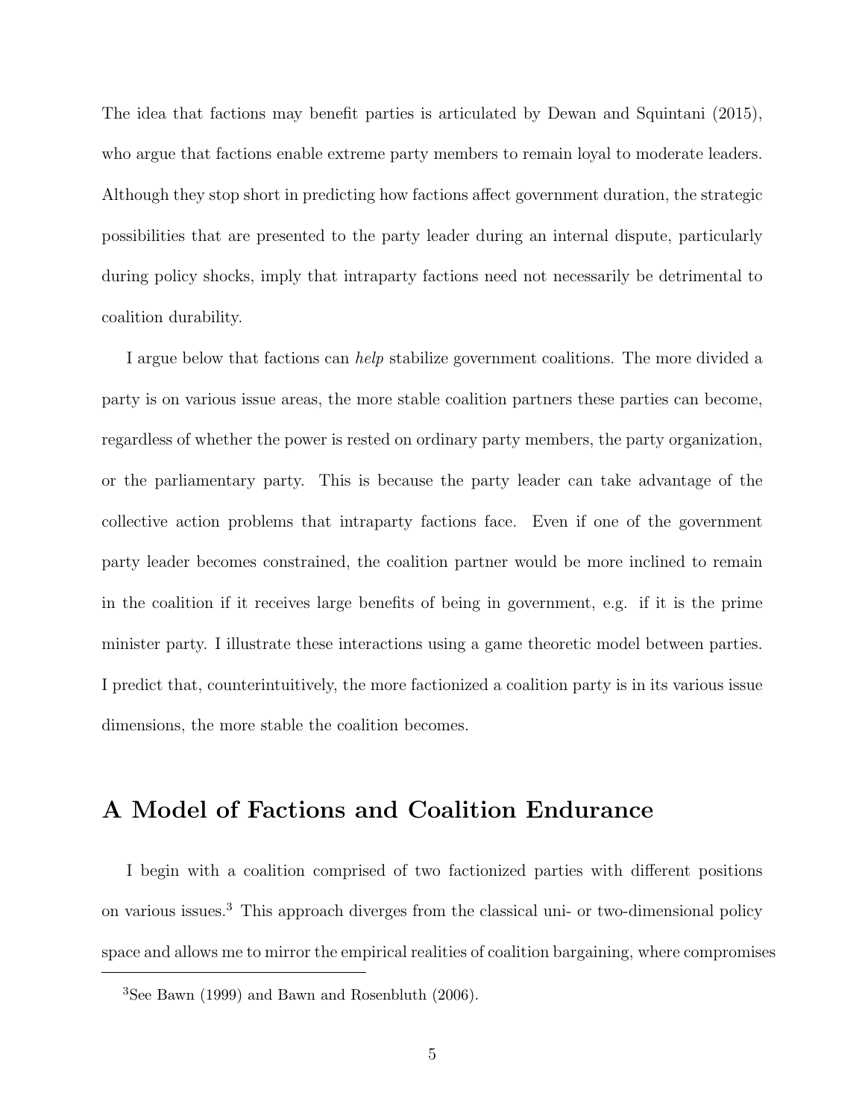The idea that factions may benefit parties is articulated by Dewan and Squintani (2015), who argue that factions enable extreme party members to remain loyal to moderate leaders. Although they stop short in predicting how factions affect government duration, the strategic possibilities that are presented to the party leader during an internal dispute, particularly during policy shocks, imply that intraparty factions need not necessarily be detrimental to coalition durability.

I argue below that factions can help stabilize government coalitions. The more divided a party is on various issue areas, the more stable coalition partners these parties can become, regardless of whether the power is rested on ordinary party members, the party organization, or the parliamentary party. This is because the party leader can take advantage of the collective action problems that intraparty factions face. Even if one of the government party leader becomes constrained, the coalition partner would be more inclined to remain in the coalition if it receives large benefits of being in government, e.g. if it is the prime minister party. I illustrate these interactions using a game theoretic model between parties. I predict that, counterintuitively, the more factionized a coalition party is in its various issue dimensions, the more stable the coalition becomes.

## A Model of Factions and Coalition Endurance

I begin with a coalition comprised of two factionized parties with different positions on various issues.<sup>3</sup> This approach diverges from the classical uni- or two-dimensional policy space and allows me to mirror the empirical realities of coalition bargaining, where compromises

<sup>3</sup>See Bawn (1999) and Bawn and Rosenbluth (2006).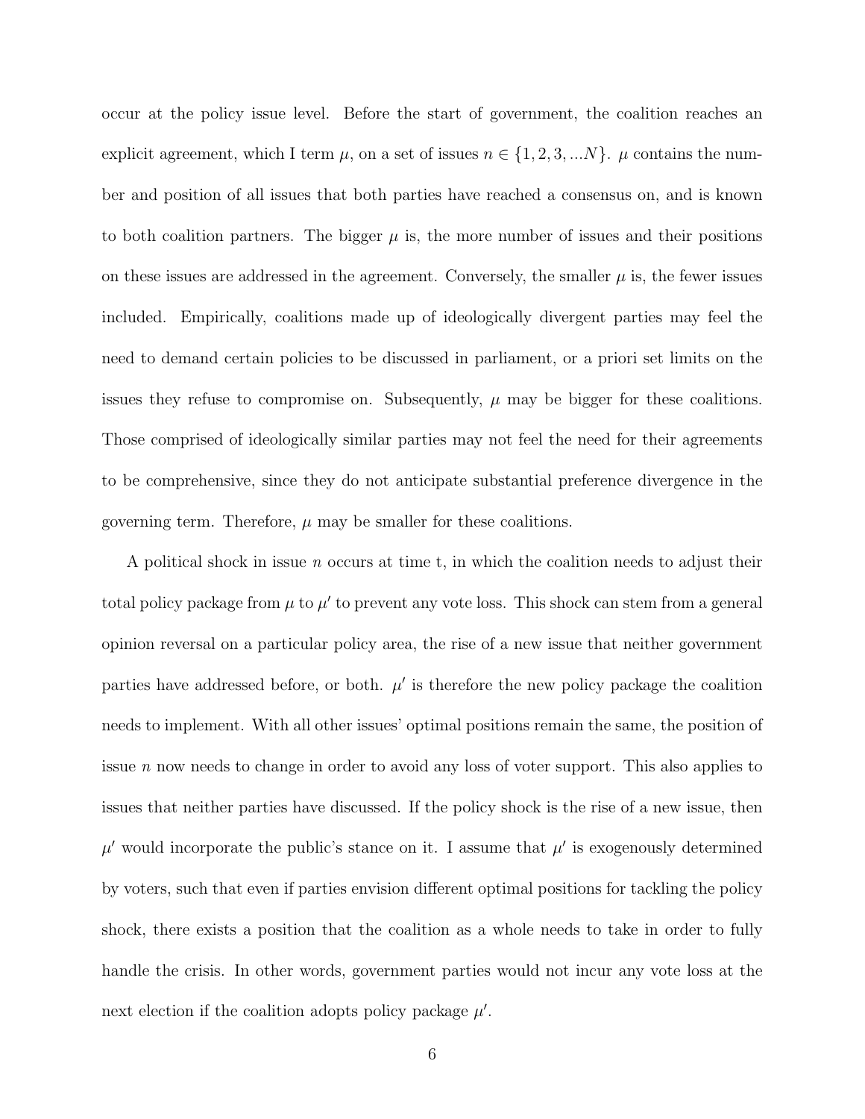occur at the policy issue level. Before the start of government, the coalition reaches an explicit agreement, which I term  $\mu$ , on a set of issues  $n \in \{1, 2, 3, ...N\}$ .  $\mu$  contains the number and position of all issues that both parties have reached a consensus on, and is known to both coalition partners. The bigger  $\mu$  is, the more number of issues and their positions on these issues are addressed in the agreement. Conversely, the smaller  $\mu$  is, the fewer issues included. Empirically, coalitions made up of ideologically divergent parties may feel the need to demand certain policies to be discussed in parliament, or a priori set limits on the issues they refuse to compromise on. Subsequently,  $\mu$  may be bigger for these coalitions. Those comprised of ideologically similar parties may not feel the need for their agreements to be comprehensive, since they do not anticipate substantial preference divergence in the governing term. Therefore,  $\mu$  may be smaller for these coalitions.

A political shock in issue *n* occurs at time t, in which the coalition needs to adjust their total policy package from  $\mu$  to  $\mu'$  to prevent any vote loss. This shock can stem from a general opinion reversal on a particular policy area, the rise of a new issue that neither government parties have addressed before, or both.  $\mu'$  is therefore the new policy package the coalition needs to implement. With all other issues' optimal positions remain the same, the position of issue n now needs to change in order to avoid any loss of voter support. This also applies to issues that neither parties have discussed. If the policy shock is the rise of a new issue, then  $\mu'$  would incorporate the public's stance on it. I assume that  $\mu'$  is exogenously determined by voters, such that even if parties envision different optimal positions for tackling the policy shock, there exists a position that the coalition as a whole needs to take in order to fully handle the crisis. In other words, government parties would not incur any vote loss at the next election if the coalition adopts policy package  $\mu'$ .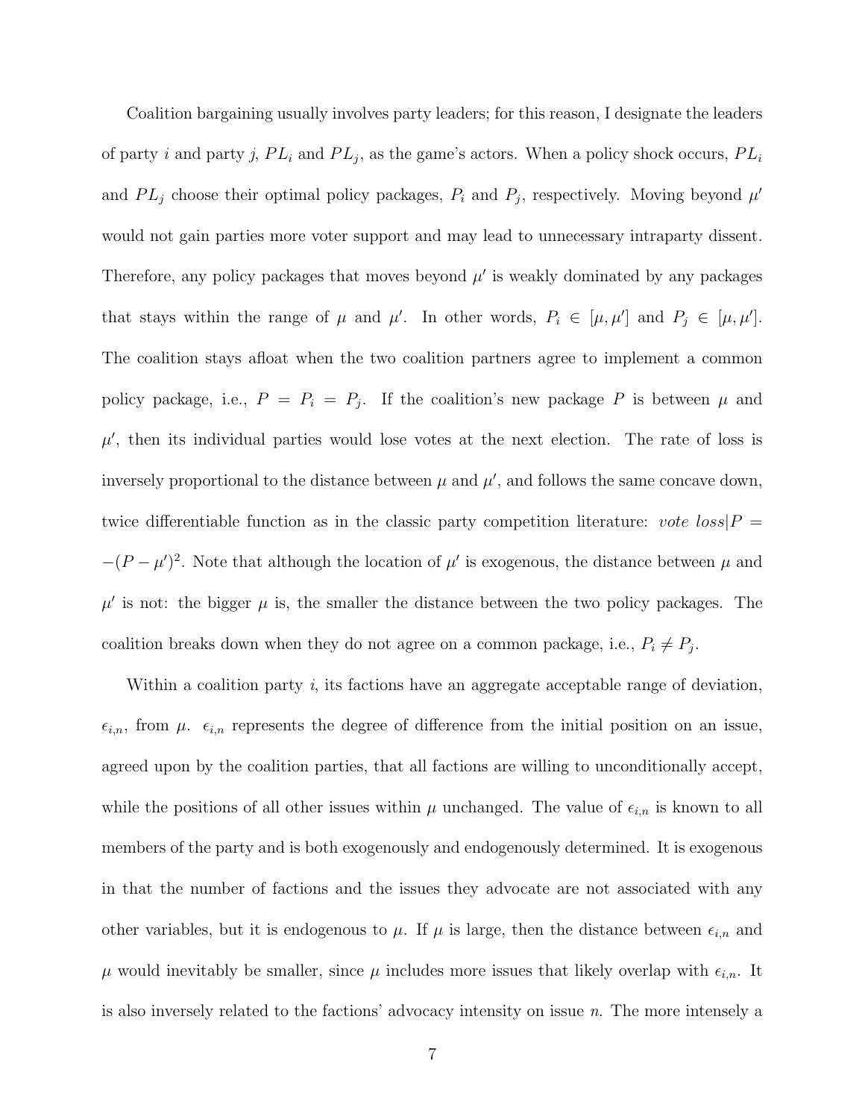Coalition bargaining usually involves party leaders; for this reason, I designate the leaders of party i and party j,  $PL_i$  and  $PL_j$ , as the game's actors. When a policy shock occurs,  $PL_i$ and  $PL_j$  choose their optimal policy packages,  $P_i$  and  $P_j$ , respectively. Moving beyond  $\mu'$ would not gain parties more voter support and may lead to unnecessary intraparty dissent. Therefore, any policy packages that moves beyond  $\mu'$  is weakly dominated by any packages that stays within the range of  $\mu$  and  $\mu'$ . In other words,  $P_i \in [\mu, \mu']$  and  $P_j \in [\mu, \mu']$ . The coalition stays afloat when the two coalition partners agree to implement a common policy package, i.e.,  $P = P_i = P_j$ . If the coalition's new package P is between  $\mu$  and  $\mu'$ , then its individual parties would lose votes at the next election. The rate of loss is inversely proportional to the distance between  $\mu$  and  $\mu'$ , and follows the same concave down, twice differentiable function as in the classic party competition literature: vote  $loss|P =$  $-(P - \mu')^2$ . Note that although the location of  $\mu'$  is exogenous, the distance between  $\mu$  and  $\mu'$  is not: the bigger  $\mu$  is, the smaller the distance between the two policy packages. The coalition breaks down when they do not agree on a common package, i.e.,  $P_i \neq P_j$ .

Within a coalition party i, its factions have an aggregate acceptable range of deviation,  $\epsilon_{i,n}$ , from  $\mu$ .  $\epsilon_{i,n}$  represents the degree of difference from the initial position on an issue, agreed upon by the coalition parties, that all factions are willing to unconditionally accept, while the positions of all other issues within  $\mu$  unchanged. The value of  $\epsilon_{i,n}$  is known to all members of the party and is both exogenously and endogenously determined. It is exogenous in that the number of factions and the issues they advocate are not associated with any other variables, but it is endogenous to  $\mu$ . If  $\mu$  is large, then the distance between  $\epsilon_{i,n}$  and  $\mu$  would inevitably be smaller, since  $\mu$  includes more issues that likely overlap with  $\epsilon_{i,n}$ . It is also inversely related to the factions' advocacy intensity on issue  $n$ . The more intensely a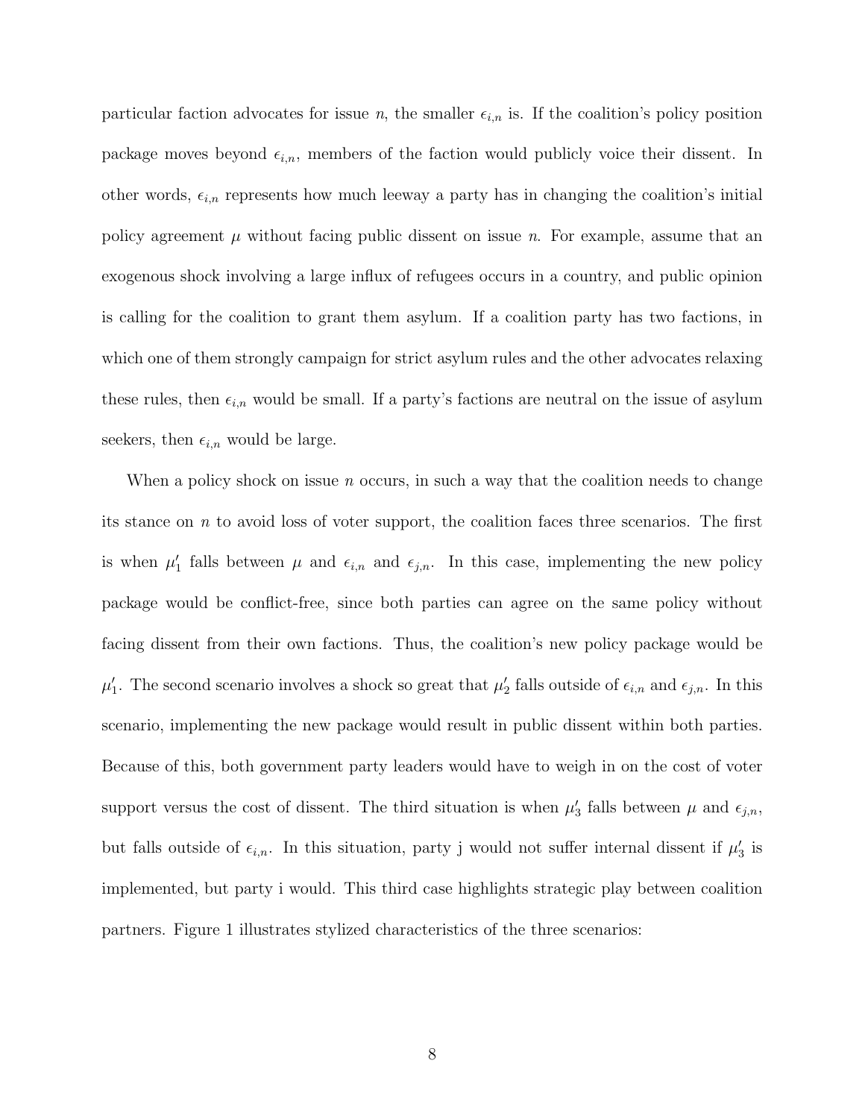particular faction advocates for issue *n*, the smaller  $\epsilon_{i,n}$  is. If the coalition's policy position package moves beyond  $\epsilon_{i,n}$ , members of the faction would publicly voice their dissent. In other words,  $\epsilon_{i,n}$  represents how much leeway a party has in changing the coalition's initial policy agreement  $\mu$  without facing public dissent on issue n. For example, assume that an exogenous shock involving a large influx of refugees occurs in a country, and public opinion is calling for the coalition to grant them asylum. If a coalition party has two factions, in which one of them strongly campaign for strict asylum rules and the other advocates relaxing these rules, then  $\epsilon_{i,n}$  would be small. If a party's factions are neutral on the issue of asylum seekers, then  $\epsilon_{i,n}$  would be large.

When a policy shock on issue  $n$  occurs, in such a way that the coalition needs to change its stance on  $n$  to avoid loss of voter support, the coalition faces three scenarios. The first is when  $\mu'_1$  falls between  $\mu$  and  $\epsilon_{i,n}$  and  $\epsilon_{j,n}$ . In this case, implementing the new policy package would be conflict-free, since both parties can agree on the same policy without facing dissent from their own factions. Thus, the coalition's new policy package would be  $\mu'_1$ . The second scenario involves a shock so great that  $\mu'_2$  falls outside of  $\epsilon_{i,n}$  and  $\epsilon_{j,n}$ . In this scenario, implementing the new package would result in public dissent within both parties. Because of this, both government party leaders would have to weigh in on the cost of voter support versus the cost of dissent. The third situation is when  $\mu'_3$  falls between  $\mu$  and  $\epsilon_{j,n}$ , but falls outside of  $\epsilon_{i,n}$ . In this situation, party j would not suffer internal dissent if  $\mu'_3$  is implemented, but party i would. This third case highlights strategic play between coalition partners. Figure 1 illustrates stylized characteristics of the three scenarios: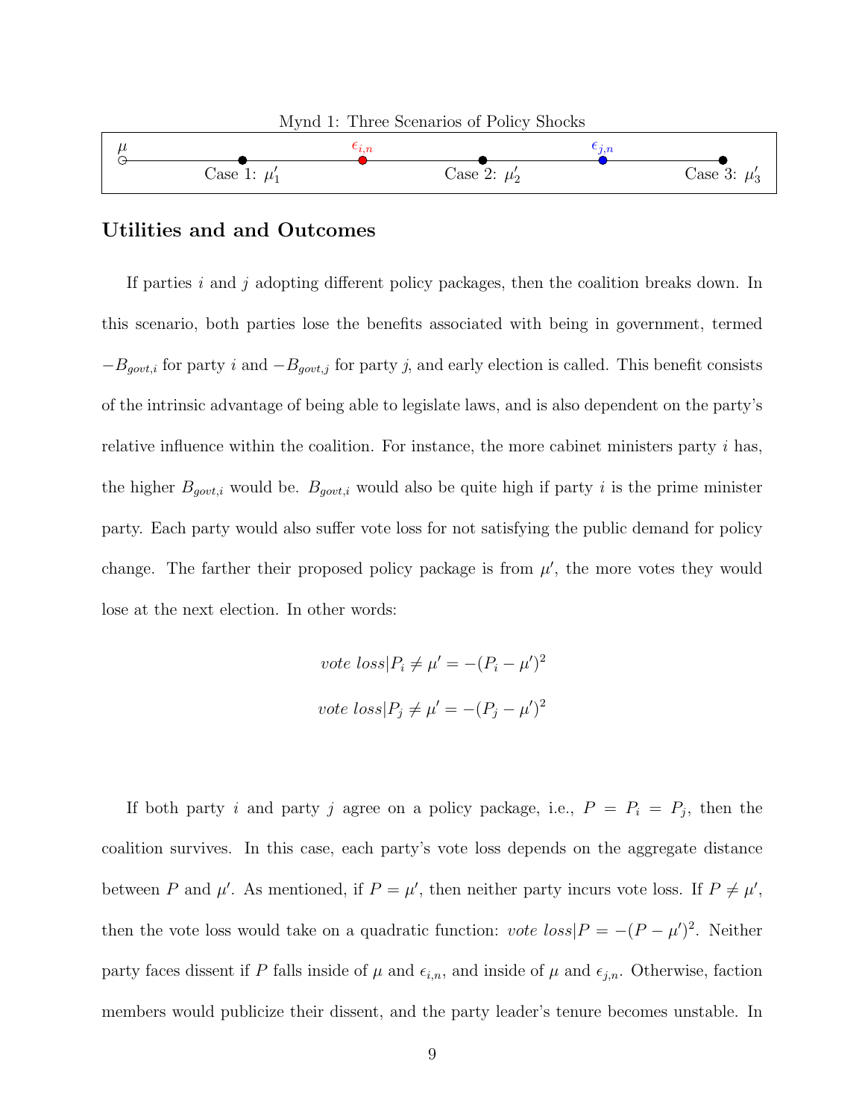

#### Utilities and and Outcomes

If parties i and j adopting different policy packages, then the coalition breaks down. In this scenario, both parties lose the benefits associated with being in government, termed  $-B_{gout,i}$  for party i and  $-B_{gout,j}$  for party j, and early election is called. This benefit consists of the intrinsic advantage of being able to legislate laws, and is also dependent on the party's relative influence within the coalition. For instance, the more cabinet ministers party  $i$  has, the higher  $B_{gout,i}$  would be.  $B_{gout,i}$  would also be quite high if party i is the prime minister party. Each party would also suffer vote loss for not satisfying the public demand for policy change. The farther their proposed policy package is from  $\mu'$ , the more votes they would lose at the next election. In other words:

$$
vote \; loss | P_i \neq \mu' = -(P_i - \mu')^2
$$
  

$$
vote \; loss | P_j \neq \mu' = -(P_j - \mu')^2
$$

If both party i and party j agree on a policy package, i.e.,  $P = P_i = P_j$ , then the coalition survives. In this case, each party's vote loss depends on the aggregate distance between P and  $\mu'$ . As mentioned, if  $P = \mu'$ , then neither party incurs vote loss. If  $P \neq \mu'$ , then the vote loss would take on a quadratic function: *vote loss* $P = -(P - \mu')^2$ . Neither party faces dissent if P falls inside of  $\mu$  and  $\epsilon_{i,n}$ , and inside of  $\mu$  and  $\epsilon_{j,n}$ . Otherwise, faction members would publicize their dissent, and the party leader's tenure becomes unstable. In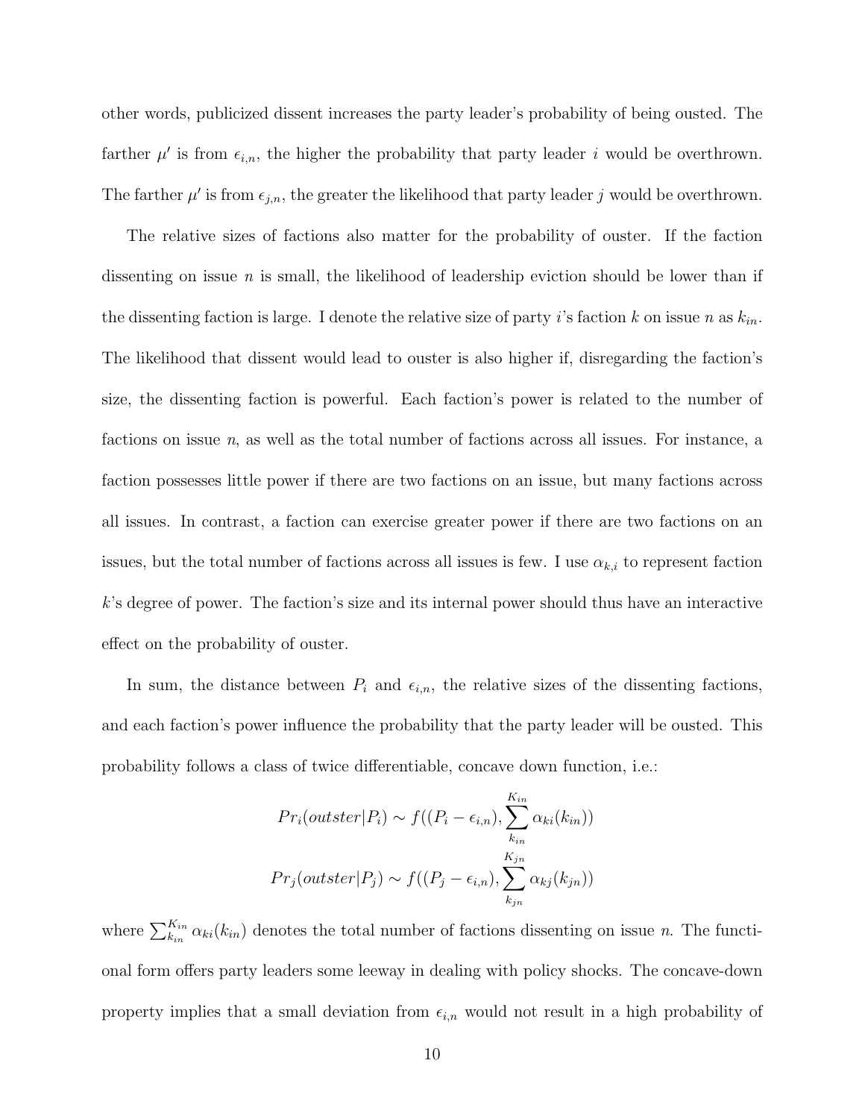other words, publicized dissent increases the party leader's probability of being ousted. The farther  $\mu'$  is from  $\epsilon_{i,n}$ , the higher the probability that party leader i would be overthrown. The farther  $\mu'$  is from  $\epsilon_{j,n}$ , the greater the likelihood that party leader j would be overthrown.

The relative sizes of factions also matter for the probability of ouster. If the faction dissenting on issue *n* is small, the likelihood of leadership eviction should be lower than if the dissenting faction is large. I denote the relative size of party i's faction k on issue n as  $k_{in}$ . The likelihood that dissent would lead to ouster is also higher if, disregarding the faction's size, the dissenting faction is powerful. Each faction's power is related to the number of factions on issue  $n$ , as well as the total number of factions across all issues. For instance, a faction possesses little power if there are two factions on an issue, but many factions across all issues. In contrast, a faction can exercise greater power if there are two factions on an issues, but the total number of factions across all issues is few. I use  $\alpha_{k,i}$  to represent faction k's degree of power. The faction's size and its internal power should thus have an interactive effect on the probability of ouster.

In sum, the distance between  $P_i$  and  $\epsilon_{i,n}$ , the relative sizes of the dissenting factions, and each faction's power influence the probability that the party leader will be ousted. This probability follows a class of twice differentiable, concave down function, i.e.:

$$
Pr_i(outster|P_i) \sim f((P_i - \epsilon_{i,n}), \sum_{k_{in}}^{K_{in}} \alpha_{ki}(k_{in}))
$$

$$
Pr_j(outster|P_j) \sim f((P_j - \epsilon_{i,n}), \sum_{k_{jn}}^{K_{jn}} \alpha_{kj}(k_{jn}))
$$

where  $\sum_{k_{in}}^{K_{in}} \alpha_{ki}(k_{in})$  denotes the total number of factions dissenting on issue *n*. The functional form offers party leaders some leeway in dealing with policy shocks. The concave-down property implies that a small deviation from  $\epsilon_{i,n}$  would not result in a high probability of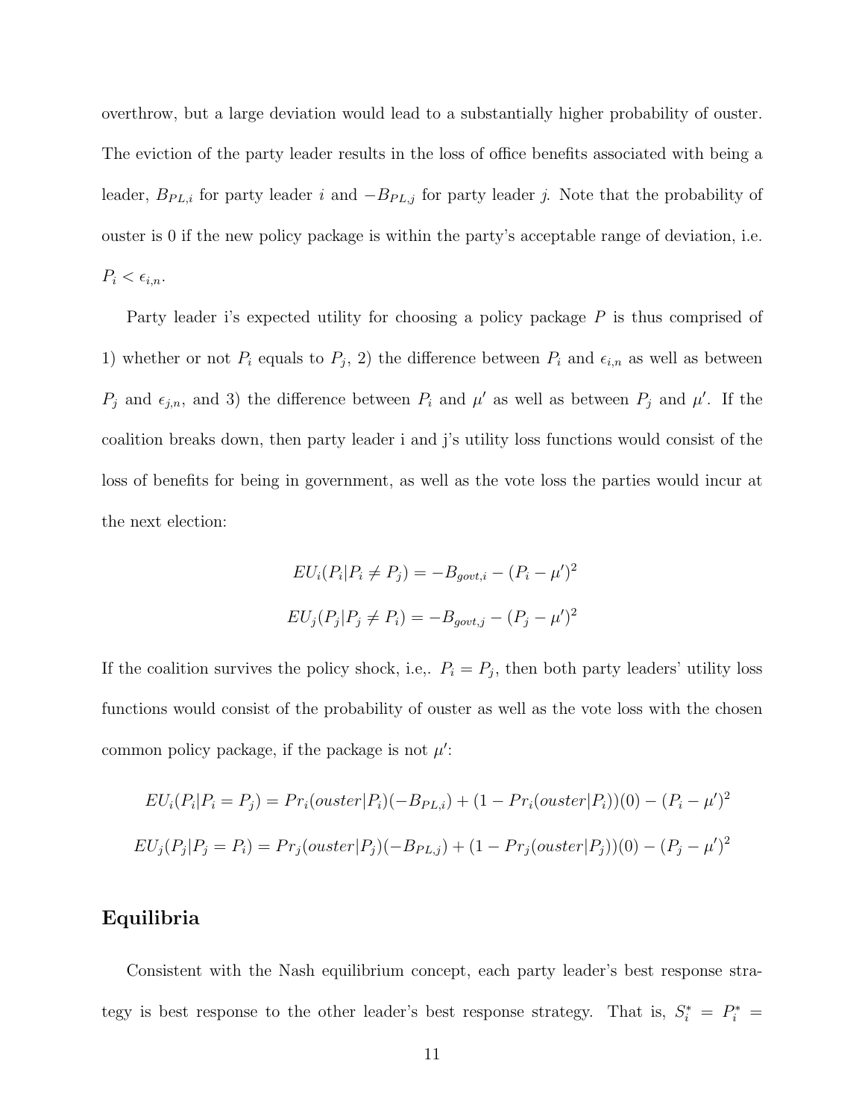overthrow, but a large deviation would lead to a substantially higher probability of ouster. The eviction of the party leader results in the loss of office benefits associated with being a leader,  $B_{PL,i}$  for party leader i and  $-B_{PL,j}$  for party leader j. Note that the probability of ouster is 0 if the new policy package is within the party's acceptable range of deviation, i.e.  $P_i < \epsilon_{i,n}.$ 

Party leader i's expected utility for choosing a policy package P is thus comprised of 1) whether or not  $P_i$  equals to  $P_j$ , 2) the difference between  $P_i$  and  $\epsilon_{i,n}$  as well as between  $P_j$  and  $\epsilon_{j,n}$ , and 3) the difference between  $P_i$  and  $\mu'$  as well as between  $P_j$  and  $\mu'$ . If the coalition breaks down, then party leader i and j's utility loss functions would consist of the loss of benefits for being in government, as well as the vote loss the parties would incur at the next election:

$$
EU_i(P_i|P_i \neq P_j) = -B_{gout,i} - (P_i - \mu')^2
$$
  

$$
EU_j(P_j|P_j \neq P_i) = -B_{gout,j} - (P_j - \mu')^2
$$

If the coalition survives the policy shock, i.e.,  $P_i = P_j$ , then both party leaders' utility loss functions would consist of the probability of ouster as well as the vote loss with the chosen common policy package, if the package is not  $\mu'$ :

$$
EU_i(P_i|P_i = P_j) = Pr_i(ouster|P_i)(-B_{PL,i}) + (1 - Pr_i(ouster|P_i))(0) - (P_i - \mu')^2
$$
  

$$
EU_j(P_j|P_j = P_i) = Pr_j(ouster|P_j)(-B_{PL,j}) + (1 - Pr_j(ouster|P_j))(0) - (P_j - \mu')^2
$$

#### Equilibria

Consistent with the Nash equilibrium concept, each party leader's best response strategy is best response to the other leader's best response strategy. That is,  $S_i^* = P_i^* =$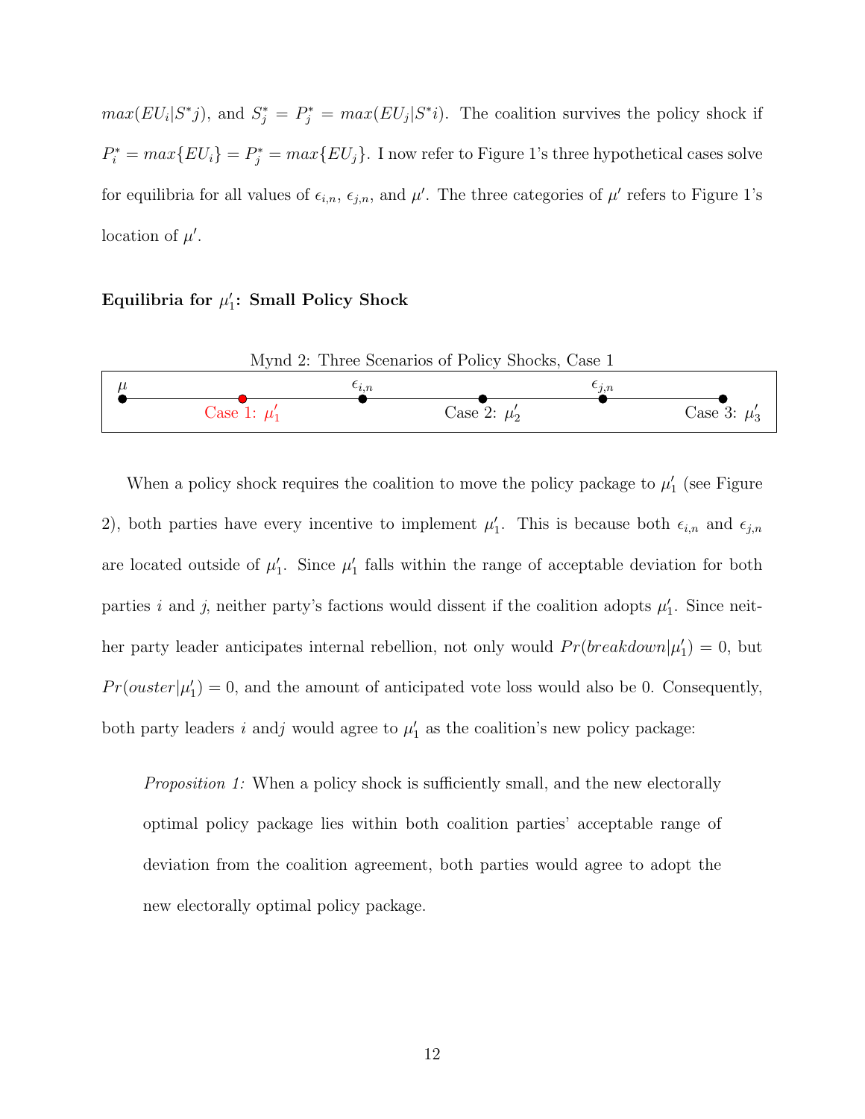$max(EU_i|S^*j)$ , and  $S_j^* = P_j^* = max(EU_j|S^*i)$ . The coalition survives the policy shock if  $P_i^* = max\{EU_i\} = P_j^* = max\{EU_j\}.$  I now refer to Figure 1's three hypothetical cases solve for equilibria for all values of  $\epsilon_{i,n}$ ,  $\epsilon_{j,n}$ , and  $\mu'$ . The three categories of  $\mu'$  refers to Figure 1's location of  $\mu'$ .

Equilibria for  $\mu'_1$ : Small Policy Shock



When a policy shock requires the coalition to move the policy package to  $\mu'_1$  (see Figure 2), both parties have every incentive to implement  $\mu'_1$ . This is because both  $\epsilon_{i,n}$  and  $\epsilon_{j,n}$ are located outside of  $\mu'_1$ . Since  $\mu'_1$  falls within the range of acceptable deviation for both parties i and j, neither party's factions would dissent if the coalition adopts  $\mu'_1$ . Since neither party leader anticipates internal rebellion, not only would  $Pr(breakdown|\mu_1')=0$ , but  $Pr(ouster|\mu'_1) = 0$ , and the amount of anticipated vote loss would also be 0. Consequently, both party leaders i and j would agree to  $\mu'_1$  as the coalition's new policy package:

Proposition 1: When a policy shock is sufficiently small, and the new electorally optimal policy package lies within both coalition parties' acceptable range of deviation from the coalition agreement, both parties would agree to adopt the new electorally optimal policy package.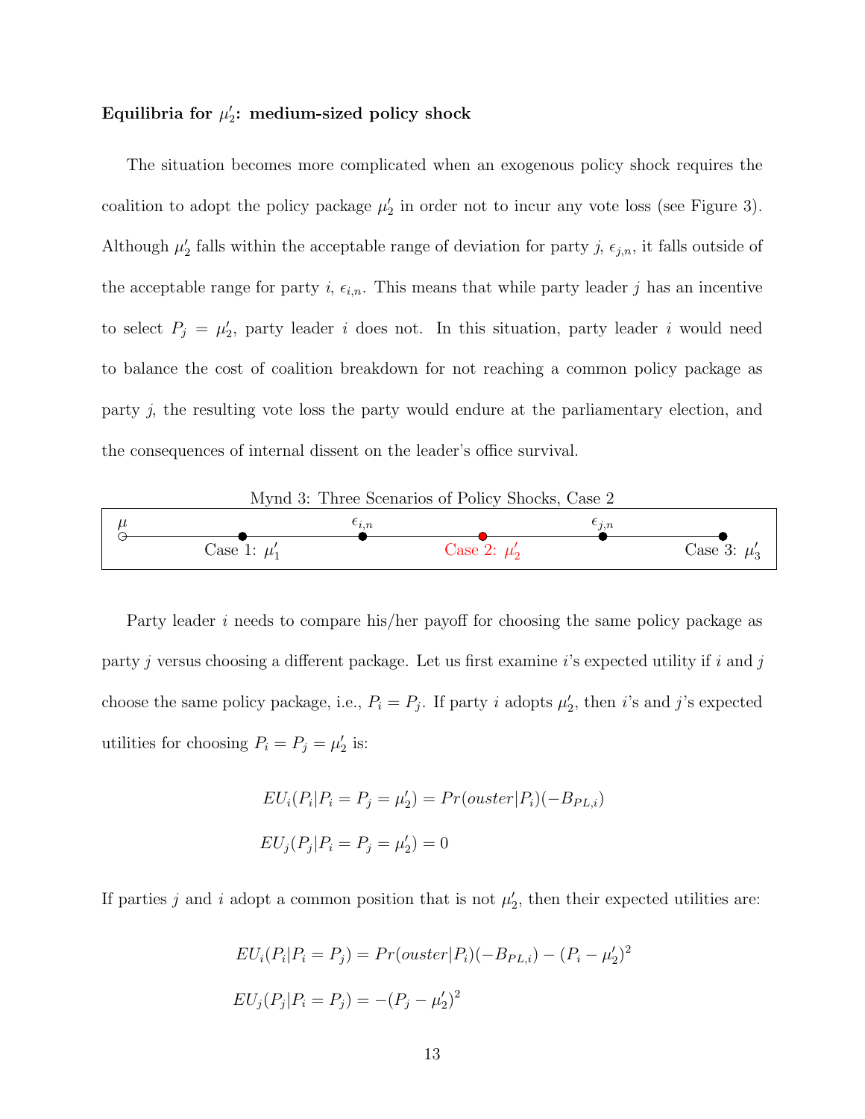## Equilibria for  $\mu_2'$ : medium-sized policy shock

The situation becomes more complicated when an exogenous policy shock requires the coalition to adopt the policy package  $\mu'_2$  in order not to incur any vote loss (see Figure 3). Although  $\mu'_2$  falls within the acceptable range of deviation for party j,  $\epsilon_{j,n}$ , it falls outside of the acceptable range for party i,  $\epsilon_{i,n}$ . This means that while party leader j has an incentive to select  $P_j = \mu'_2$ , party leader i does not. In this situation, party leader i would need to balance the cost of coalition breakdown for not reaching a common policy package as party j, the resulting vote loss the party would endure at the parliamentary election, and the consequences of internal dissent on the leader's office survival.

Mynd 3: Three Scenarios of Policy Shocks, Case 2



Party leader i needs to compare his/her payoff for choosing the same policy package as party j versus choosing a different package. Let us first examine i's expected utility if i and j choose the same policy package, i.e.,  $P_i = P_j$ . If party i adopts  $\mu'_2$ , then i's and j's expected utilities for choosing  $P_i = P_j = \mu'_2$  is:

$$
EU_i(P_i|P_i = P_j = \mu'_2) = Pr(ouster|P_i)(-B_{PL,i})
$$
  

$$
EU_j(P_j|P_i = P_j = \mu'_2) = 0
$$

If parties j and i adopt a common position that is not  $\mu'_2$ , then their expected utilities are:

$$
EU_i(P_i|P_i = P_j) = Pr(outer|P_i)(-B_{PL,i}) - (P_i - \mu'_2)^2
$$
  

$$
EU_j(P_j|P_i = P_j) = -(P_j - \mu'_2)^2
$$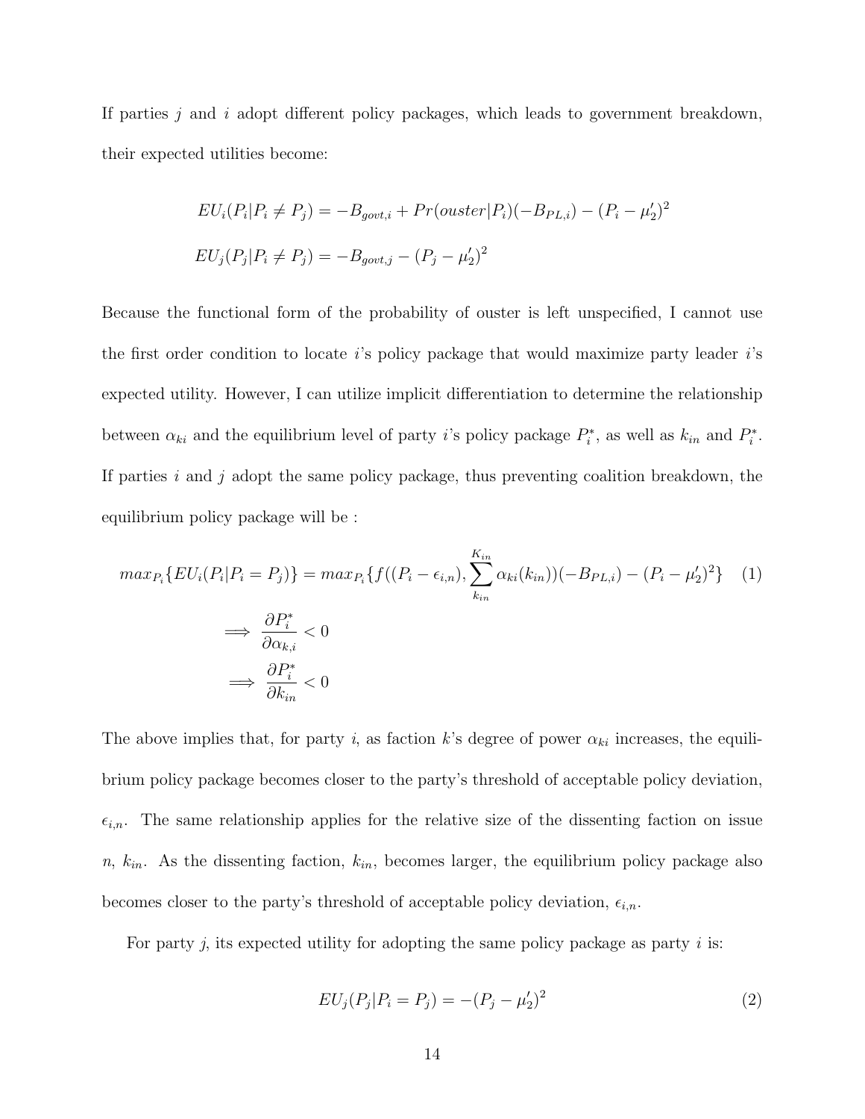If parties  $j$  and  $i$  adopt different policy packages, which leads to government breakdown, their expected utilities become:

$$
EU_i(P_i|P_i \neq P_j) = -B_{gout,i} + Pr(ouster|P_i)(-B_{PL,i}) - (P_i - \mu'_2)^2
$$
  

$$
EU_j(P_j|P_i \neq P_j) = -B_{gout,j} - (P_j - \mu'_2)^2
$$

Because the functional form of the probability of ouster is left unspecified, I cannot use the first order condition to locate is policy package that would maximize party leader is expected utility. However, I can utilize implicit differentiation to determine the relationship between  $\alpha_{ki}$  and the equilibrium level of party *i*'s policy package  $P_i^*$ , as well as  $k_{in}$  and  $P_i^*$ . If parties i and j adopt the same policy package, thus preventing coalition breakdown, the equilibrium policy package will be :

$$
\max_{P_i} \{ EU_i(P_i | P_i = P_j) \} = \max_{P_i} \{ f((P_i - \epsilon_{i,n}), \sum_{k_{in}}^{K_{in}} \alpha_{ki}(k_{in})) (-B_{PL,i}) - (P_i - \mu_2')^2 \} \quad (1)
$$

$$
\implies \frac{\partial P_i^*}{\partial \alpha_{k,i}} < 0
$$

$$
\implies \frac{\partial P_i^*}{\partial k_{in}} < 0
$$

The above implies that, for party i, as faction k's degree of power  $\alpha_{ki}$  increases, the equilibrium policy package becomes closer to the party's threshold of acceptable policy deviation,  $\epsilon_{i,n}$ . The same relationship applies for the relative size of the dissenting faction on issue  $n, k_{in}$ . As the dissenting faction,  $k_{in}$ , becomes larger, the equilibrium policy package also becomes closer to the party's threshold of acceptable policy deviation,  $\epsilon_{i,n}$ .

For party  $j$ , its expected utility for adopting the same policy package as party  $i$  is:

$$
EU_j(P_j|P_i = P_j) = -(P_j - \mu'_2)^2
$$
\n(2)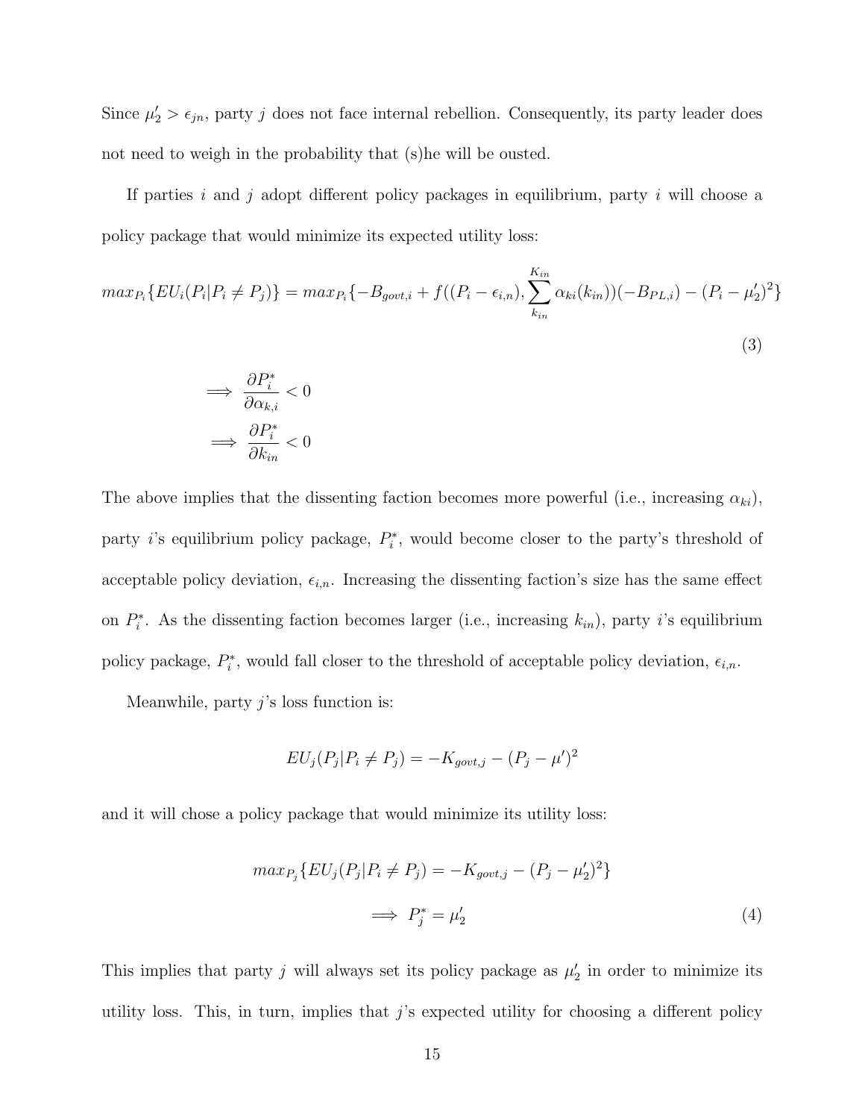Since  $\mu'_2 > \epsilon_{jn}$ , party j does not face internal rebellion. Consequently, its party leader does not need to weigh in the probability that (s)he will be ousted.

If parties i and j adopt different policy packages in equilibrium, party i will choose a policy package that would minimize its expected utility loss:

$$
max_{P_i} \{ EU_i(P_i | P_i \neq P_j) \} = max_{P_i} \{ -B_{gout,i} + f((P_i - \epsilon_{i,n}), \sum_{k_{in}}^{K_{in}} \alpha_{ki}(k_{in})) (-B_{PL,i}) - (P_i - \mu_2')^2 \}
$$
\n(3)

$$
\implies \frac{\partial P_i^*}{\partial \alpha_{k,i}} < 0
$$
\n
$$
\implies \frac{\partial P_i^*}{\partial k_{in}} < 0
$$

The above implies that the dissenting faction becomes more powerful (i.e., increasing  $\alpha_{ki}$ ), party *i*'s equilibrium policy package,  $P_i^*$ , would become closer to the party's threshold of acceptable policy deviation,  $\epsilon_{i,n}$ . Increasing the dissenting faction's size has the same effect on  $P_i^*$ . As the dissenting faction becomes larger (i.e., increasing  $k_{in}$ ), party *i*'s equilibrium policy package,  $P_i^*$ , would fall closer to the threshold of acceptable policy deviation,  $\epsilon_{i,n}$ .

Meanwhile, party  $j$ 's loss function is:

$$
EU_j(P_j|P_i \neq P_j) = -K_{gout,j} - (P_j - \mu')^2
$$

and it will chose a policy package that would minimize its utility loss:

$$
max_{P_j} \{ EU_j(P_j | P_i \neq P_j) = -K_{gout,j} - (P_j - \mu'_2)^2 \}
$$
  

$$
\implies P_j^* = \mu'_2
$$
 (4)

This implies that party j will always set its policy package as  $\mu'_2$  in order to minimize its utility loss. This, in turn, implies that  $j$ 's expected utility for choosing a different policy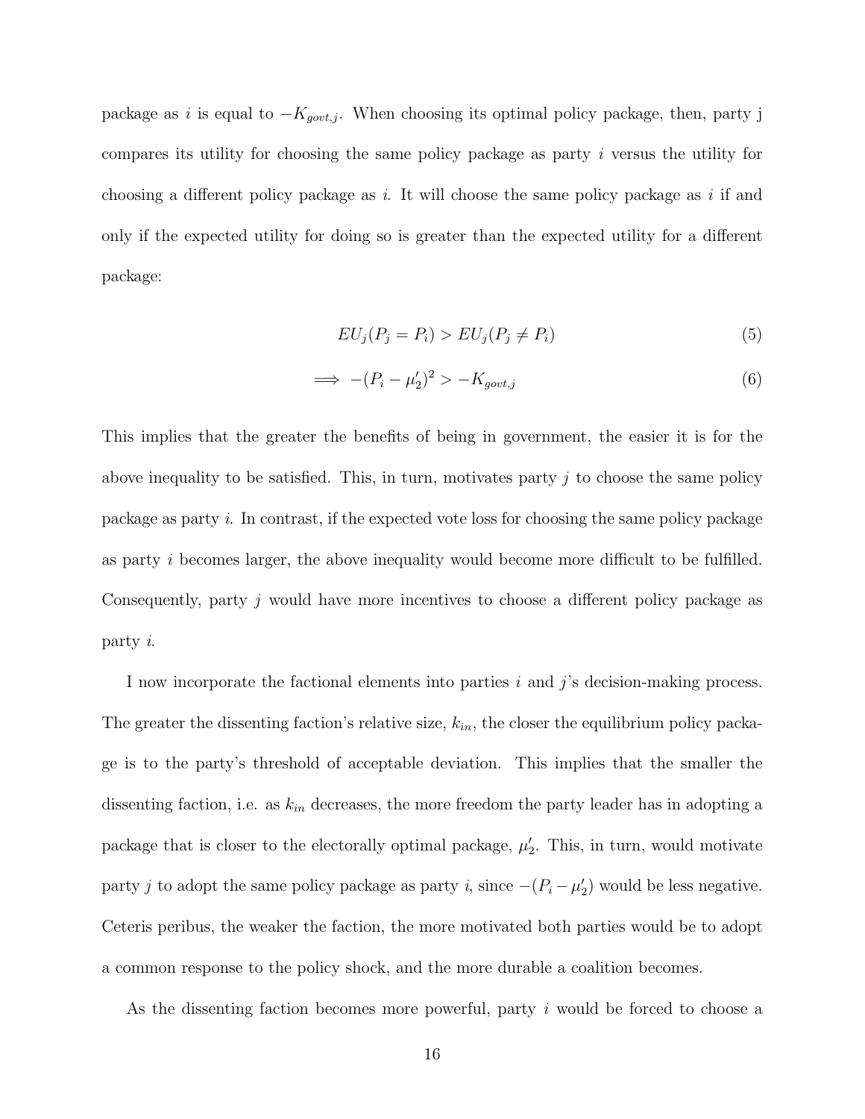package as i is equal to  $-K_{gout,j}$ . When choosing its optimal policy package, then, party j compares its utility for choosing the same policy package as party i versus the utility for choosing a different policy package as  $i$ . It will choose the same policy package as  $i$  if and only if the expected utility for doing so is greater than the expected utility for a different package:

$$
EU_j(P_j = P_i) > EU_j(P_j \neq P_i)
$$
\n
$$
(5)
$$

$$
\implies -(P_i - \mu_2')^2 > -K_{gout,j} \tag{6}
$$

This implies that the greater the benefits of being in government, the easier it is for the above inequality to be satisfied. This, in turn, motivates party  $j$  to choose the same policy package as party i. In contrast, if the expected vote loss for choosing the same policy package as party i becomes larger, the above inequality would become more difficult to be fulfilled. Consequently, party j would have more incentives to choose a different policy package as party i.

I now incorporate the factional elements into parties  $i$  and  $j$ 's decision-making process. The greater the dissenting faction's relative size,  $k_{in}$ , the closer the equilibrium policy package is to the party's threshold of acceptable deviation. This implies that the smaller the dissenting faction, i.e. as  $k_{in}$  decreases, the more freedom the party leader has in adopting a package that is closer to the electorally optimal package,  $\mu'_2$ . This, in turn, would motivate party j to adopt the same policy package as party i, since  $-(P_i - \mu'_2)$  would be less negative. Ceteris peribus, the weaker the faction, the more motivated both parties would be to adopt a common response to the policy shock, and the more durable a coalition becomes.

As the dissenting faction becomes more powerful, party i would be forced to choose a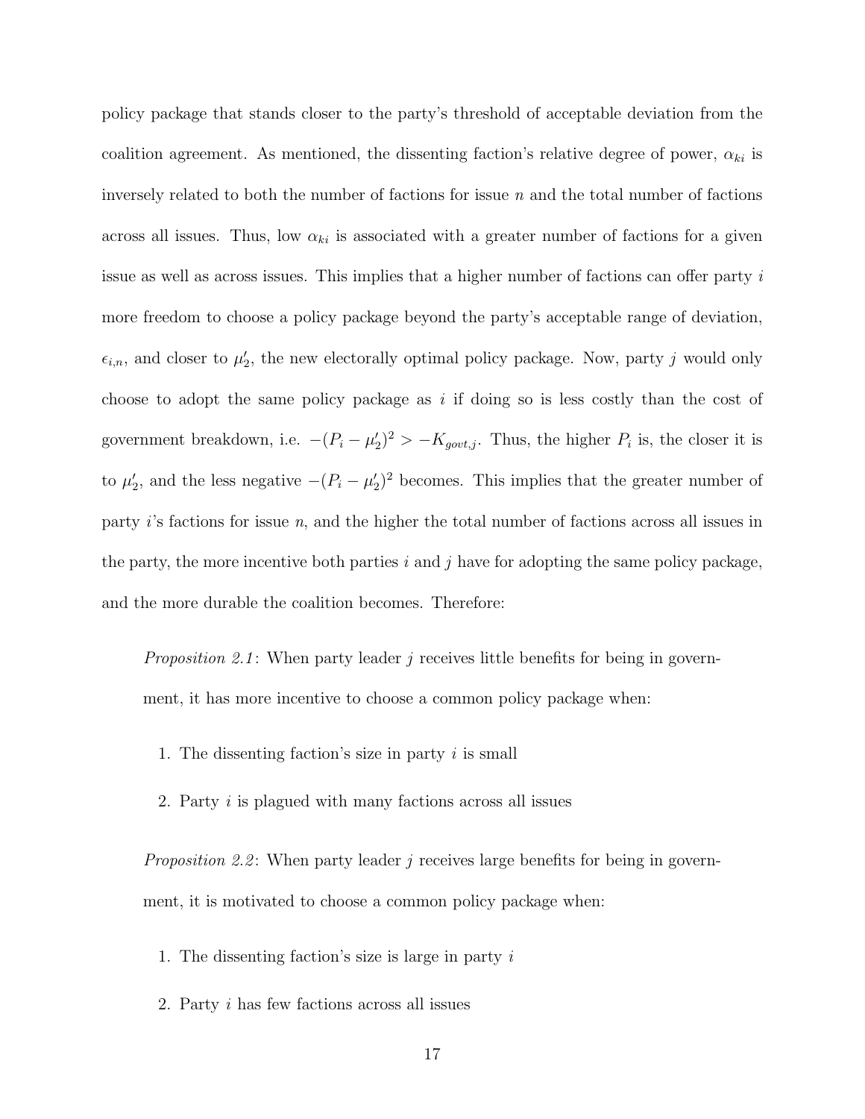policy package that stands closer to the party's threshold of acceptable deviation from the coalition agreement. As mentioned, the dissenting faction's relative degree of power,  $\alpha_{ki}$  is inversely related to both the number of factions for issue  $n$  and the total number of factions across all issues. Thus, low  $\alpha_{ki}$  is associated with a greater number of factions for a given issue as well as across issues. This implies that a higher number of factions can offer party i more freedom to choose a policy package beyond the party's acceptable range of deviation,  $\epsilon_{i,n}$ , and closer to  $\mu'_2$ , the new electorally optimal policy package. Now, party j would only choose to adopt the same policy package as  $i$  if doing so is less costly than the cost of government breakdown, i.e.  $-(P_i - \mu'_2)^2 > -K_{gout,j}$ . Thus, the higher  $P_i$  is, the closer it is to  $\mu'_2$ , and the less negative  $-(P_i - \mu'_2)^2$  becomes. This implies that the greater number of party i's factions for issue n, and the higher the total number of factions across all issues in the party, the more incentive both parties  $i$  and  $j$  have for adopting the same policy package, and the more durable the coalition becomes. Therefore:

*Proposition 2.1*: When party leader j receives little benefits for being in government, it has more incentive to choose a common policy package when:

- 1. The dissenting faction's size in party  $i$  is small
- 2. Party i is plagued with many factions across all issues

*Proposition 2.2*: When party leader j receives large benefits for being in government, it is motivated to choose a common policy package when:

- 1. The dissenting faction's size is large in party i
- 2. Party i has few factions across all issues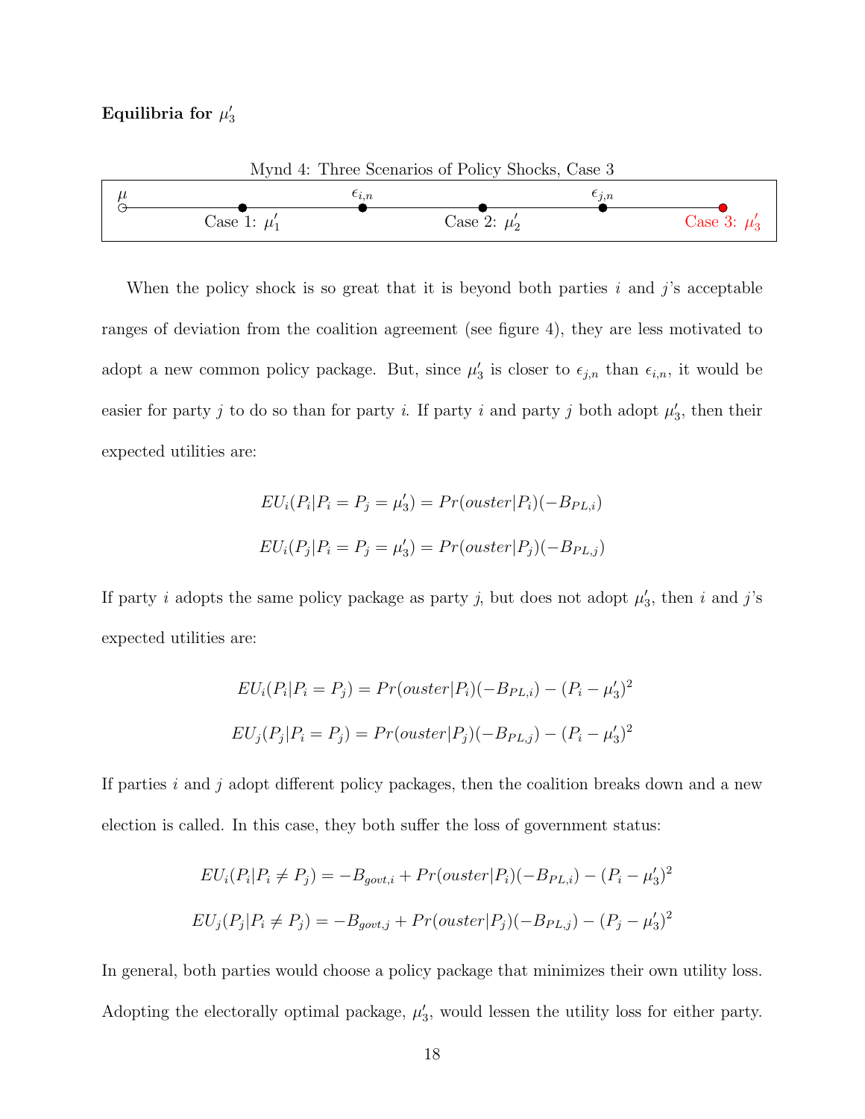## Equilibria for  $\mu'_3$



When the policy shock is so great that it is beyond both parties  $i$  and  $j$ 's acceptable ranges of deviation from the coalition agreement (see figure 4), they are less motivated to adopt a new common policy package. But, since  $\mu'_3$  is closer to  $\epsilon_{j,n}$  than  $\epsilon_{i,n}$ , it would be easier for party j to do so than for party i. If party i and party j both adopt  $\mu'_3$ , then their expected utilities are:

$$
EU_i(P_i|P_i = P_j = \mu'_3) = Pr(ouster|P_i)(-B_{PL,i})
$$
  

$$
EU_i(P_j|P_i = P_j = \mu'_3) = Pr(ouster|P_j)(-B_{PL,j})
$$

If party i adopts the same policy package as party j, but does not adopt  $\mu'_3$ , then i and j's expected utilities are:

$$
EU_i(P_i|P_i = P_j) = Pr(outer|P_i)(-B_{PL,i}) - (P_i - \mu'_3)^2
$$
  

$$
EU_j(P_j|P_i = P_j) = Pr(outer|P_j)(-B_{PL,j}) - (P_i - \mu'_3)^2
$$

If parties  $i$  and  $j$  adopt different policy packages, then the coalition breaks down and a new election is called. In this case, they both suffer the loss of government status:

$$
EU_i(P_i|P_i \neq P_j) = -B_{gout,i} + Pr(ouster|P_i)(-B_{PL,i}) - (P_i - \mu'_3)^2
$$
  

$$
EU_j(P_j|P_i \neq P_j) = -B_{gout,j} + Pr(ouster|P_j)(-B_{PL,j}) - (P_j - \mu'_3)^2
$$

In general, both parties would choose a policy package that minimizes their own utility loss. Adopting the electorally optimal package,  $\mu'_3$ , would lessen the utility loss for either party.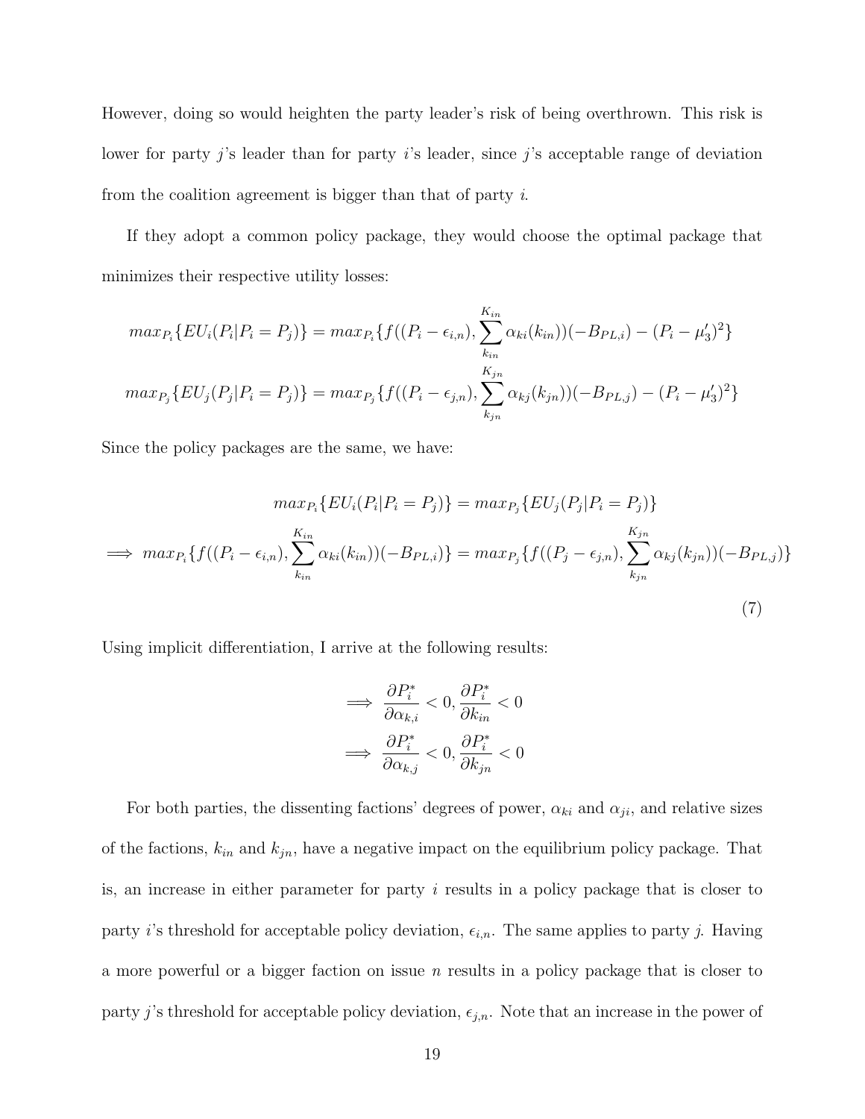However, doing so would heighten the party leader's risk of being overthrown. This risk is lower for party j's leader than for party i's leader, since j's acceptable range of deviation from the coalition agreement is bigger than that of party i.

If they adopt a common policy package, they would choose the optimal package that minimizes their respective utility losses:

$$
max_{P_i} \{ EU_i(P_i | P_i = P_j) \} = max_{P_i} \{ f((P_i - \epsilon_{i,n}), \sum_{k_{in}}^{K_{in}} \alpha_{ki}(k_{in})) (-B_{PL,i}) - (P_i - \mu'_3)^2 \}
$$

$$
max_{P_j} \{ EU_j(P_j | P_i = P_j) \} = max_{P_j} \{ f((P_i - \epsilon_{j,n}), \sum_{k_{jn}}^{K_{jn}} \alpha_{kj}(k_{jn})) (-B_{PL,j}) - (P_i - \mu'_3)^2 \}
$$

Since the policy packages are the same, we have:

$$
\max_{P_i} \{ EU_i(P_i | P_i = P_j) \} = \max_{P_j} \{ EU_j(P_j | P_i = P_j) \}
$$
  
\n
$$
\implies \max_{P_i} \{ f((P_i - \epsilon_{i,n}), \sum_{k_{in}}^{K_{in}} \alpha_{ki}(k_{in})) (-B_{PL,i}) \} = \max_{P_j} \{ f((P_j - \epsilon_{j,n}), \sum_{k_{jn}}^{K_{jn}} \alpha_{kj}(k_{jn})) (-B_{PL,j}) \}
$$
  
\n(7)

Using implicit differentiation, I arrive at the following results:

$$
\implies \frac{\partial P_i^*}{\partial \alpha_{k,i}} < 0, \frac{\partial P_i^*}{\partial k_{in}} < 0
$$
\n
$$
\implies \frac{\partial P_i^*}{\partial \alpha_{k,j}} < 0, \frac{\partial P_i^*}{\partial k_{jn}} < 0
$$

For both parties, the dissenting factions' degrees of power,  $\alpha_{ki}$  and  $\alpha_{ji}$ , and relative sizes of the factions,  $k_{in}$  and  $k_{jn}$ , have a negative impact on the equilibrium policy package. That is, an increase in either parameter for party  $i$  results in a policy package that is closer to party i's threshold for acceptable policy deviation,  $\epsilon_{i,n}$ . The same applies to party j. Having a more powerful or a bigger faction on issue  $n$  results in a policy package that is closer to party j's threshold for acceptable policy deviation,  $\epsilon_{j,n}$ . Note that an increase in the power of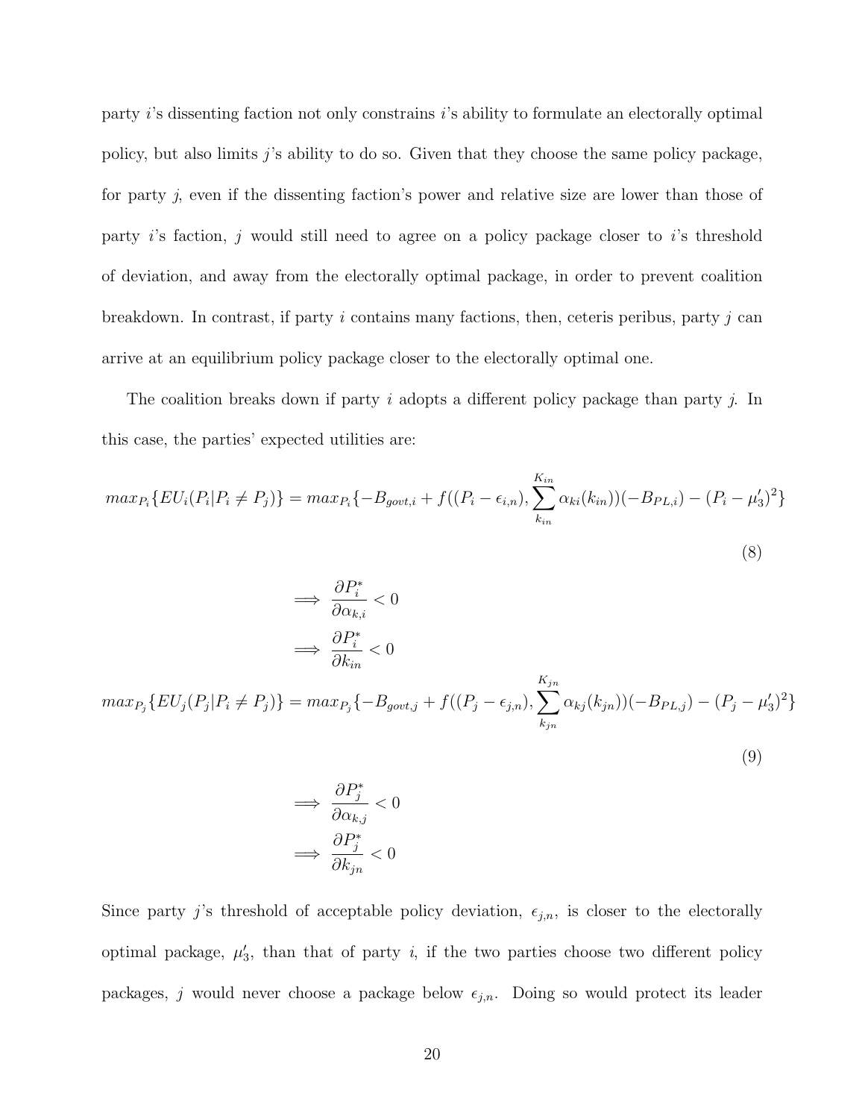party i's dissenting faction not only constrains i's ability to formulate an electorally optimal policy, but also limits  $j$ 's ability to do so. Given that they choose the same policy package, for party j, even if the dissenting faction's power and relative size are lower than those of party i's faction, j would still need to agree on a policy package closer to i's threshold of deviation, and away from the electorally optimal package, in order to prevent coalition breakdown. In contrast, if party i contains many factions, then, ceteris peribus, party j can arrive at an equilibrium policy package closer to the electorally optimal one.

The coalition breaks down if party i adopts a different policy package than party j. In this case, the parties' expected utilities are:

$$
max_{P_i} \{ EU_i(P_i | P_i \neq P_j) \} = max_{P_i} \{ -B_{gout,i} + f((P_i - \epsilon_{i,n}), \sum_{k_{in}}^{K_{in}} \alpha_{ki}(k_{in})) (-B_{PL,i}) - (P_i - \mu_3')^2 \}
$$
\n(8)

$$
\implies \frac{\partial P_i^*}{\partial \alpha_{k,i}} < 0
$$
\n
$$
\implies \frac{\partial P_i^*}{\partial k_{in}} < 0
$$
\n
$$
\max_{P_j} \{ EU_j(P_j | P_i \neq P_j) \} = \max_{P_j} \{ -B_{gout,j} + f((P_j - \epsilon_{j,n}), \sum_{k_{jn}} \alpha_{kj}(k_{jn}))(-B_{PL,j}) - (P_j - \mu_3')^2 \}
$$
\n(9)

$$
\implies \frac{\partial P_j^*}{\partial \alpha_{k,j}} < 0
$$

$$
\implies \frac{\partial P_j^*}{\partial k_{jn}} < 0
$$

Since party j's threshold of acceptable policy deviation,  $\epsilon_{j,n}$ , is closer to the electorally optimal package,  $\mu'_3$ , than that of party i, if the two parties choose two different policy packages, j would never choose a package below  $\epsilon_{j,n}$ . Doing so would protect its leader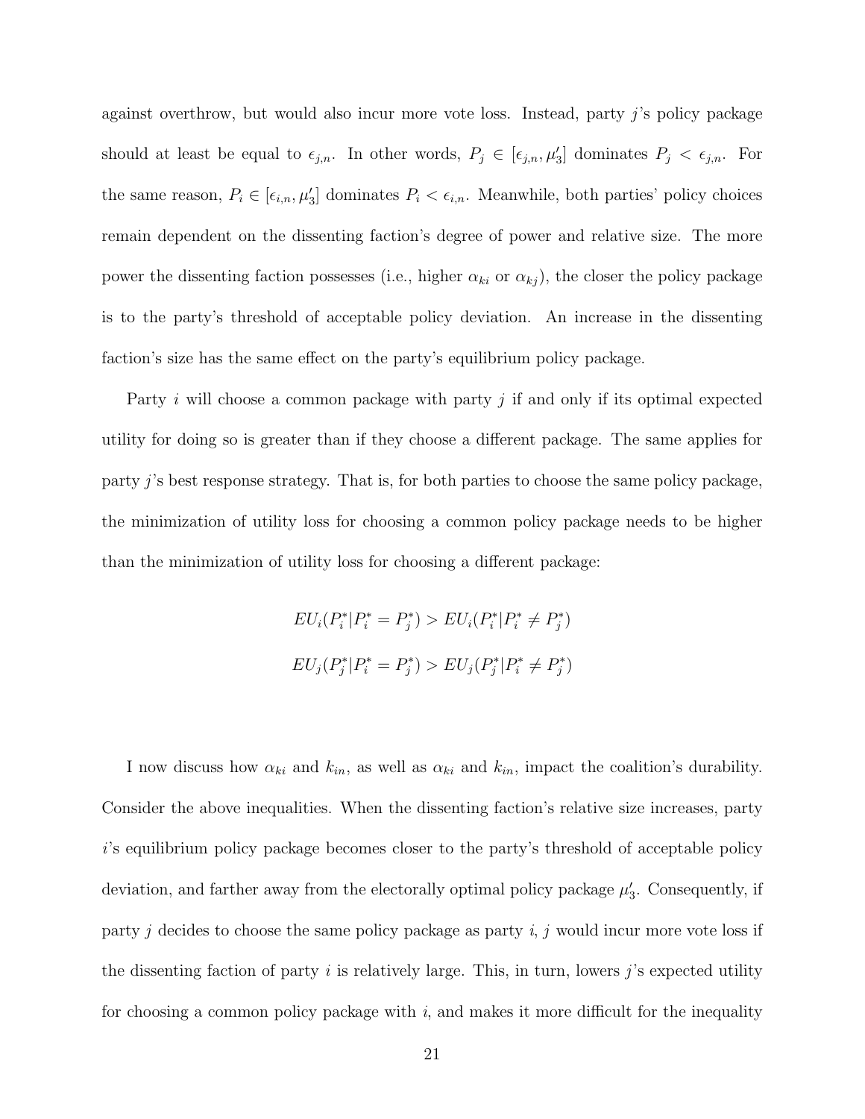against overthrow, but would also incur more vote loss. Instead, party j's policy package should at least be equal to  $\epsilon_{j,n}$ . In other words,  $P_j \in [\epsilon_{j,n}, \mu'_3]$  dominates  $P_j < \epsilon_{j,n}$ . For the same reason,  $P_i \in [\epsilon_{i,n}, \mu'_3]$  dominates  $P_i < \epsilon_{i,n}$ . Meanwhile, both parties' policy choices remain dependent on the dissenting faction's degree of power and relative size. The more power the dissenting faction possesses (i.e., higher  $\alpha_{ki}$  or  $\alpha_{kj}$ ), the closer the policy package is to the party's threshold of acceptable policy deviation. An increase in the dissenting faction's size has the same effect on the party's equilibrium policy package.

Party *i* will choose a common package with party *j* if and only if its optimal expected utility for doing so is greater than if they choose a different package. The same applies for party j's best response strategy. That is, for both parties to choose the same policy package, the minimization of utility loss for choosing a common policy package needs to be higher than the minimization of utility loss for choosing a different package:

$$
EU_i(P_i^* | P_i^* = P_j^*) > EU_i(P_i^* | P_i^* \neq P_j^*)
$$
  

$$
EU_j(P_j^* | P_i^* = P_j^*) > EU_j(P_j^* | P_i^* \neq P_j^*)
$$

I now discuss how  $\alpha_{ki}$  and  $k_{in}$ , as well as  $\alpha_{ki}$  and  $k_{in}$ , impact the coalition's durability. Consider the above inequalities. When the dissenting faction's relative size increases, party i's equilibrium policy package becomes closer to the party's threshold of acceptable policy deviation, and farther away from the electorally optimal policy package  $\mu'_3$ . Consequently, if party j decides to choose the same policy package as party  $i, j$  would incur more vote loss if the dissenting faction of party  $i$  is relatively large. This, in turn, lowers  $j$ 's expected utility for choosing a common policy package with  $i$ , and makes it more difficult for the inequality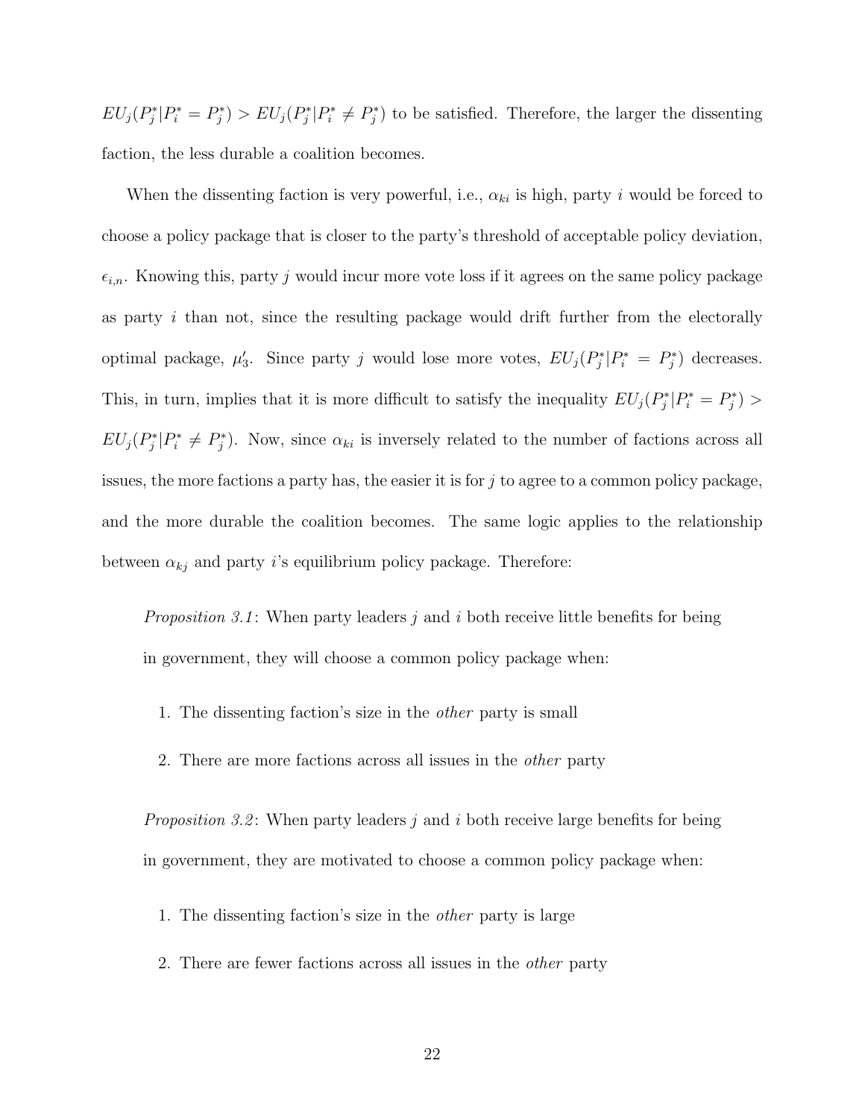$EU_j(P_j^*|P_i^* = P_j^*) > EU_j(P_j^*|P_i^* \neq P_j^*)$  to be satisfied. Therefore, the larger the dissenting faction, the less durable a coalition becomes.

When the dissenting faction is very powerful, i.e.,  $\alpha_{ki}$  is high, party i would be forced to choose a policy package that is closer to the party's threshold of acceptable policy deviation,  $\epsilon_{i,n}$ . Knowing this, party j would incur more vote loss if it agrees on the same policy package as party i than not, since the resulting package would drift further from the electorally optimal package,  $\mu'_3$ . Since party j would lose more votes,  $EU_j(P_j^*|P_i^* = P_j^*)$  decreases. This, in turn, implies that it is more difficult to satisfy the inequality  $EU_j(P_j^*|P_i^* = P_j^*)$  $EU_j(P_j^*|P_i^* \neq P_j^*)$ . Now, since  $\alpha_{ki}$  is inversely related to the number of factions across all issues, the more factions a party has, the easier it is for  $j$  to agree to a common policy package, and the more durable the coalition becomes. The same logic applies to the relationship between  $\alpha_{kj}$  and party i's equilibrium policy package. Therefore:

*Proposition 3.1*: When party leaders  $j$  and  $i$  both receive little benefits for being in government, they will choose a common policy package when:

- 1. The dissenting faction's size in the other party is small
- 2. There are more factions across all issues in the other party

*Proposition 3.2*: When party leaders  $j$  and  $i$  both receive large benefits for being in government, they are motivated to choose a common policy package when:

- 1. The dissenting faction's size in the other party is large
- 2. There are fewer factions across all issues in the other party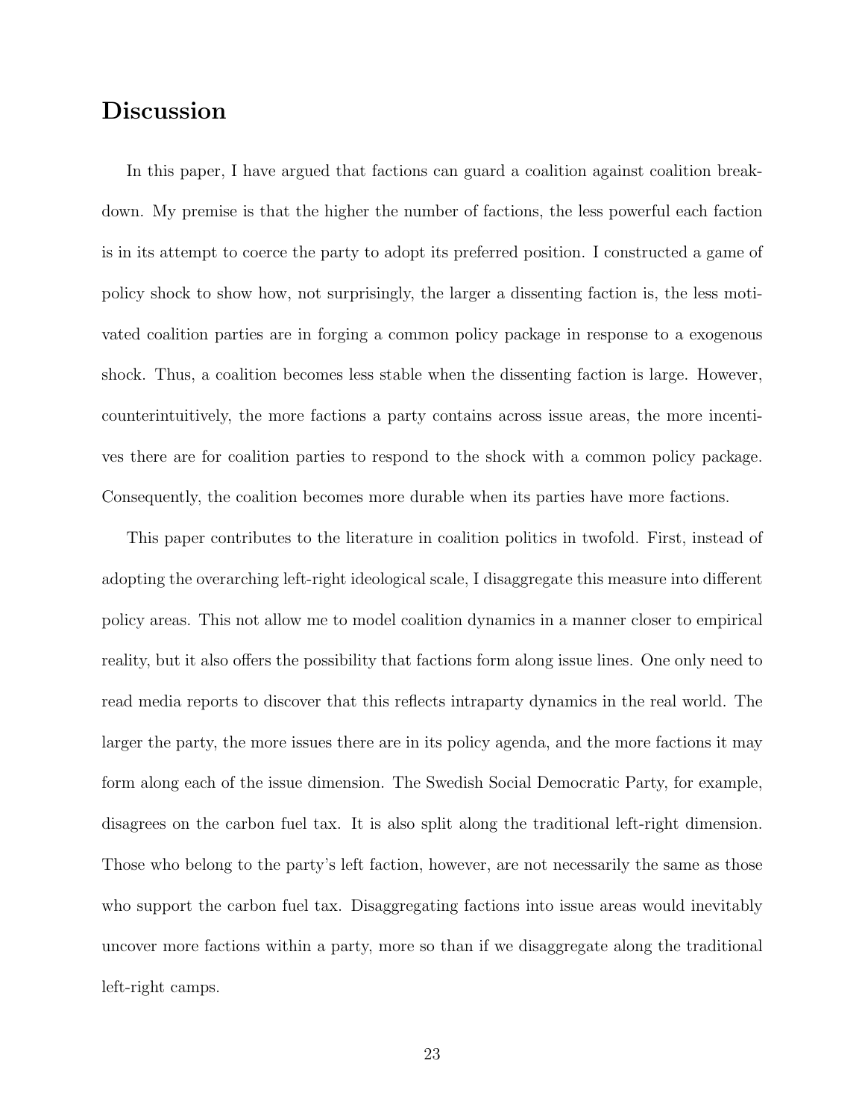## Discussion

In this paper, I have argued that factions can guard a coalition against coalition breakdown. My premise is that the higher the number of factions, the less powerful each faction is in its attempt to coerce the party to adopt its preferred position. I constructed a game of policy shock to show how, not surprisingly, the larger a dissenting faction is, the less motivated coalition parties are in forging a common policy package in response to a exogenous shock. Thus, a coalition becomes less stable when the dissenting faction is large. However, counterintuitively, the more factions a party contains across issue areas, the more incentives there are for coalition parties to respond to the shock with a common policy package. Consequently, the coalition becomes more durable when its parties have more factions.

This paper contributes to the literature in coalition politics in twofold. First, instead of adopting the overarching left-right ideological scale, I disaggregate this measure into different policy areas. This not allow me to model coalition dynamics in a manner closer to empirical reality, but it also offers the possibility that factions form along issue lines. One only need to read media reports to discover that this reflects intraparty dynamics in the real world. The larger the party, the more issues there are in its policy agenda, and the more factions it may form along each of the issue dimension. The Swedish Social Democratic Party, for example, disagrees on the carbon fuel tax. It is also split along the traditional left-right dimension. Those who belong to the party's left faction, however, are not necessarily the same as those who support the carbon fuel tax. Disaggregating factions into issue areas would inevitably uncover more factions within a party, more so than if we disaggregate along the traditional left-right camps.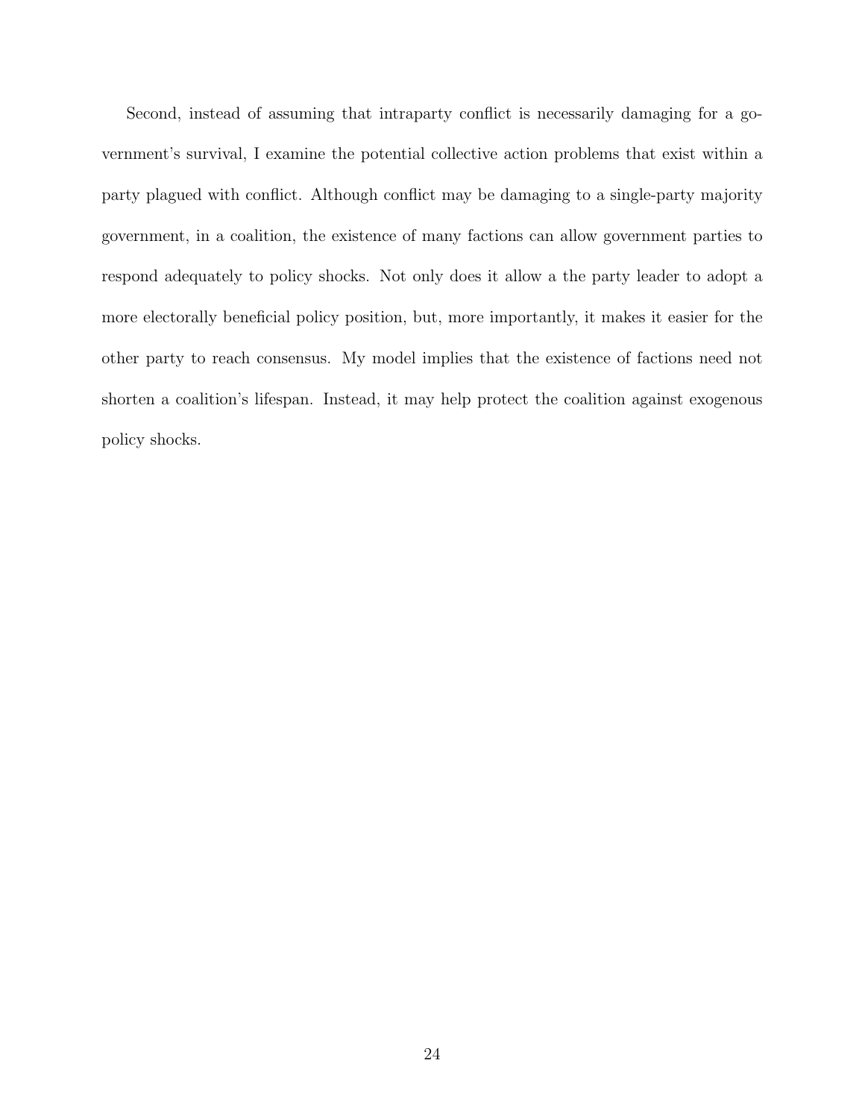Second, instead of assuming that intraparty conflict is necessarily damaging for a government's survival, I examine the potential collective action problems that exist within a party plagued with conflict. Although conflict may be damaging to a single-party majority government, in a coalition, the existence of many factions can allow government parties to respond adequately to policy shocks. Not only does it allow a the party leader to adopt a more electorally beneficial policy position, but, more importantly, it makes it easier for the other party to reach consensus. My model implies that the existence of factions need not shorten a coalition's lifespan. Instead, it may help protect the coalition against exogenous policy shocks.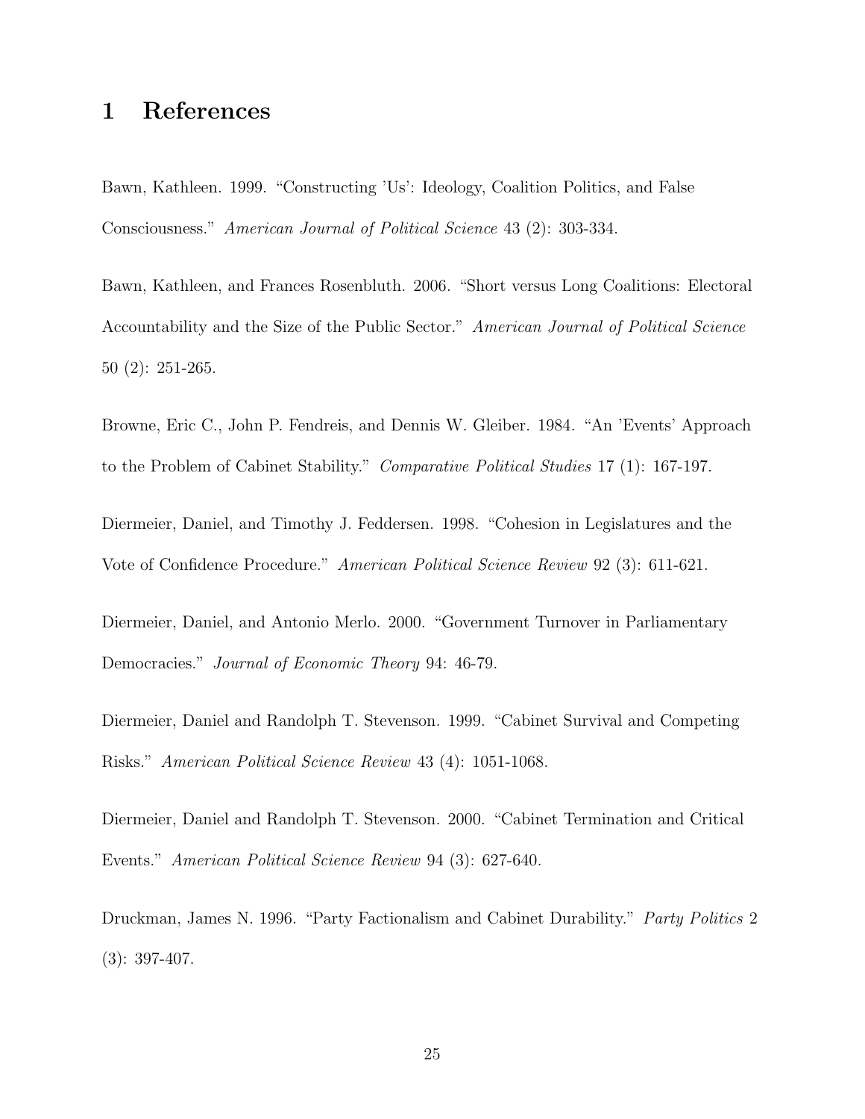## 1 References

Bawn, Kathleen. 1999. "Constructing 'Us': Ideology, Coalition Politics, and False Consciousness." American Journal of Political Science 43 (2): 303-334.

Bawn, Kathleen, and Frances Rosenbluth. 2006. "Short versus Long Coalitions: Electoral Accountability and the Size of the Public Sector." American Journal of Political Science 50 (2): 251-265.

Browne, Eric C., John P. Fendreis, and Dennis W. Gleiber. 1984. "An 'Events' Approach to the Problem of Cabinet Stability." Comparative Political Studies 17 (1): 167-197.

Diermeier, Daniel, and Timothy J. Feddersen. 1998. "Cohesion in Legislatures and the Vote of Confidence Procedure." American Political Science Review 92 (3): 611-621.

Diermeier, Daniel, and Antonio Merlo. 2000. "Government Turnover in Parliamentary Democracies." *Journal of Economic Theory* 94: 46-79.

Diermeier, Daniel and Randolph T. Stevenson. 1999. "Cabinet Survival and Competing Risks." American Political Science Review 43 (4): 1051-1068.

Diermeier, Daniel and Randolph T. Stevenson. 2000. "Cabinet Termination and Critical Events." American Political Science Review 94 (3): 627-640.

Druckman, James N. 1996. "Party Factionalism and Cabinet Durability." Party Politics 2 (3): 397-407.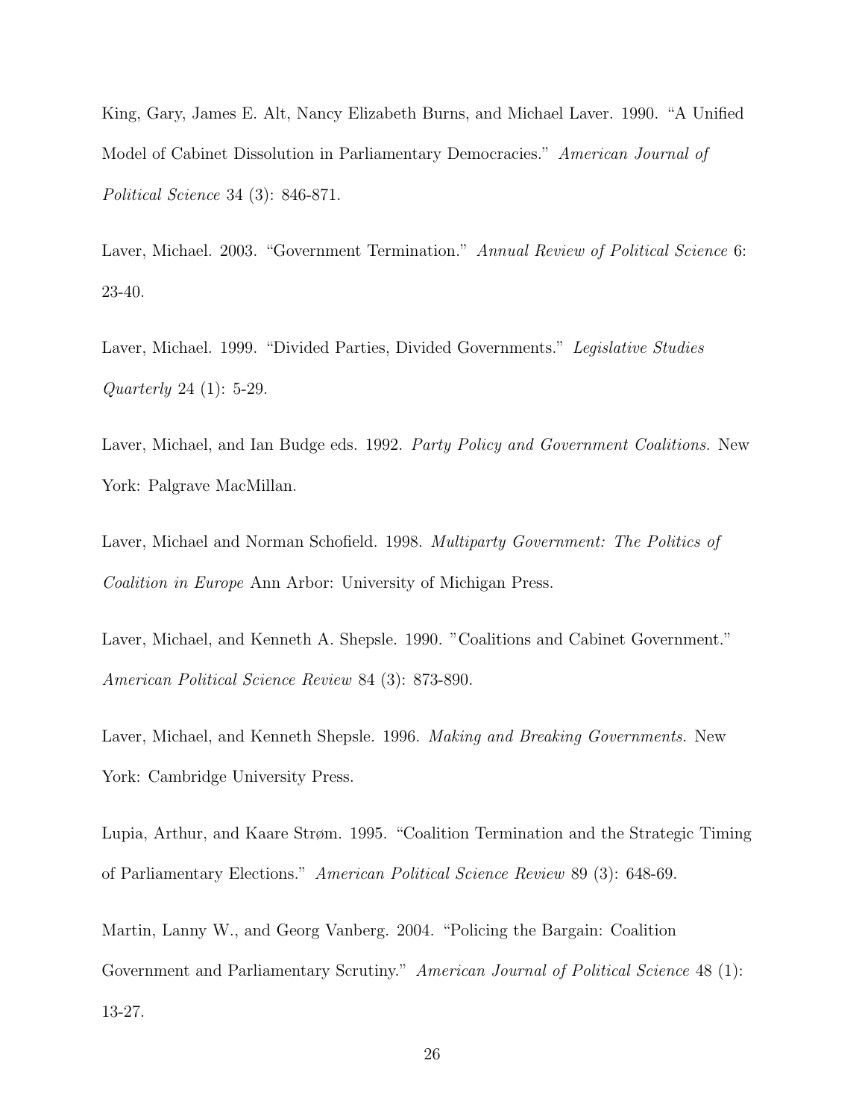King, Gary, James E. Alt, Nancy Elizabeth Burns, and Michael Laver. 1990. "A Unified Model of Cabinet Dissolution in Parliamentary Democracies." American Journal of Political Science 34 (3): 846-871.

Laver, Michael. 2003. "Government Termination." Annual Review of Political Science 6: 23-40.

Laver, Michael. 1999. "Divided Parties, Divided Governments." Legislative Studies Quarterly 24 (1): 5-29.

Laver, Michael, and Ian Budge eds. 1992. Party Policy and Government Coalitions. New York: Palgrave MacMillan.

Laver, Michael and Norman Schofield. 1998. *Multiparty Government: The Politics of* Coalition in Europe Ann Arbor: University of Michigan Press.

Laver, Michael, and Kenneth A. Shepsle. 1990. "Coalitions and Cabinet Government." American Political Science Review 84 (3): 873-890.

Laver, Michael, and Kenneth Shepsle. 1996. Making and Breaking Governments. New York: Cambridge University Press.

Lupia, Arthur, and Kaare Strøm. 1995. "Coalition Termination and the Strategic Timing of Parliamentary Elections." American Political Science Review 89 (3): 648-69.

Martin, Lanny W., and Georg Vanberg. 2004. "Policing the Bargain: Coalition Government and Parliamentary Scrutiny." American Journal of Political Science 48 (1): 13-27.